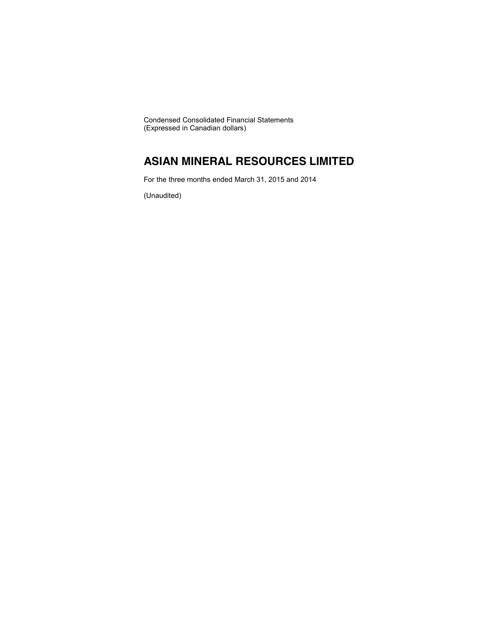Condensed Consolidated Financial Statements (Expressed in Canadian dollars)

# **ASIAN MINERAL RESOURCES LIMITED**

For the three months ended March 31, 2015 and 2014

(Unaudited)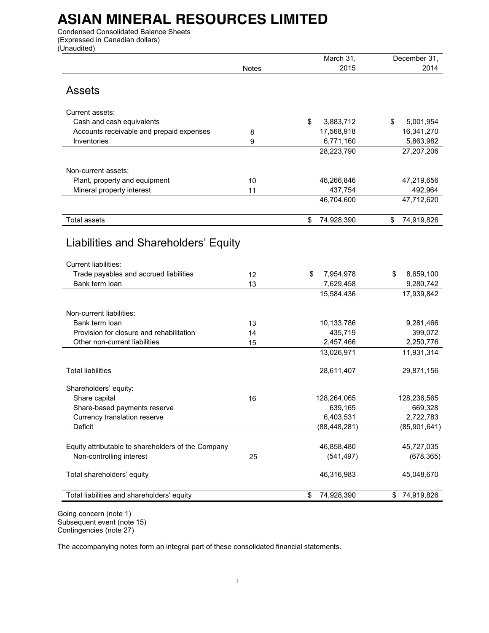# **ASIAN MINERAL RESOURCES LIMITED**

Condensed Consolidated Balance Sheets (Expressed in Canadian dollars) (Unaudited)

|                                                    |              | March 31,        | December 31,     |
|----------------------------------------------------|--------------|------------------|------------------|
|                                                    | <b>Notes</b> | 2015             | 2014             |
| <b>Assets</b>                                      |              |                  |                  |
|                                                    |              |                  |                  |
| Current assets:                                    |              |                  |                  |
| Cash and cash equivalents                          |              | \$<br>3,883,712  | 5,001,954<br>\$  |
| Accounts receivable and prepaid expenses           | 8            | 17,568,918       | 16,341,270       |
| Inventories                                        | 9            | 6,771,160        | 5,863,982        |
|                                                    |              | 28,223,790       | 27,207,206       |
| Non-current assets:                                |              |                  |                  |
| Plant, property and equipment                      | 10           | 46,266,846       | 47,219,656       |
| Mineral property interest                          | 11           | 437,754          | 492,964          |
|                                                    |              | 46,704,600       | 47,712,620       |
|                                                    |              |                  |                  |
| <b>Total assets</b>                                |              | \$<br>74,928,390 | \$<br>74,919,826 |
|                                                    |              |                  |                  |
| Liabilities and Shareholders' Equity               |              |                  |                  |
|                                                    |              |                  |                  |
| <b>Current liabilities:</b>                        |              |                  |                  |
| Trade payables and accrued liabilities             | 12           | \$<br>7,954,978  | \$<br>8,659,100  |
| Bank term loan                                     | 13           | 7,629,458        | 9,280,742        |
|                                                    |              | 15,584,436       | 17,939,842       |
| Non-current liabilities:                           |              |                  |                  |
| Bank term loan                                     | 13           | 10,133,786       | 9,281,466        |
| Provision for closure and rehabilitation           | 14           | 435,719          | 399,072          |
| Other non-current liabilities                      | 15           | 2,457,466        | 2,250,776        |
|                                                    |              | 13,026,971       | 11,931,314       |
|                                                    |              |                  |                  |
| <b>Total liabilities</b>                           |              | 28,611,407       | 29,871,156       |
| Shareholders' equity:                              |              |                  |                  |
| Share capital                                      | 16           | 128,264,065      | 128,236,565      |
| Share-based payments reserve                       |              | 639,165          | 669,328          |
| Currency translation reserve                       |              | 6,403,531        | 2,722,783        |
| Deficit                                            |              | (88, 448, 281)   | (85,901,641)     |
|                                                    |              |                  |                  |
| Equity attributable to shareholders of the Company |              | 46,858,480       | 45,727,035       |
| Non-controlling interest                           | 25           | (541, 497)       | (678, 365)       |
| Total shareholders' equity                         |              | 46,316,983       | 45,048,670       |
|                                                    |              |                  |                  |
| Total liabilities and shareholders' equity         |              | \$<br>74,928,390 | 74,919,826<br>\$ |
|                                                    |              |                  |                  |

Going concern (note 1) Subsequent event (note 15) Contingencies (note 27)

The accompanying notes form an integral part of these consolidated financial statements.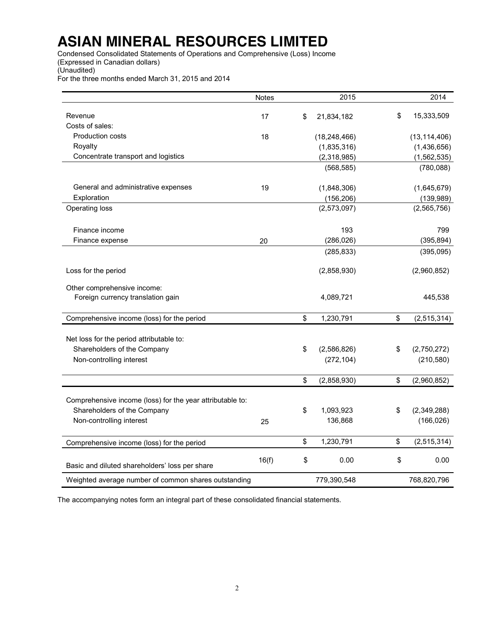# **ASIAN MINERAL RESOURCES LIMITED**

Condensed Consolidated Statements of Operations and Comprehensive (Loss) Income (Expressed in Canadian dollars) (Unaudited)

For the three months ended March 31, 2015 and 2014

|                                                                  | Notes | 2015              | 2014              |
|------------------------------------------------------------------|-------|-------------------|-------------------|
| Revenue                                                          | 17    | \$<br>21,834,182  | \$<br>15,333,509  |
| Costs of sales:                                                  |       |                   |                   |
| <b>Production costs</b>                                          | 18    | (18, 248, 466)    | (13, 114, 406)    |
| Royalty                                                          |       | (1,835,316)       | (1,436,656)       |
| Concentrate transport and logistics                              |       | (2,318,985)       | (1, 562, 535)     |
|                                                                  |       | (568, 585)        | (780, 088)        |
|                                                                  |       |                   |                   |
| General and administrative expenses                              | 19    | (1,848,306)       | (1,645,679)       |
| Exploration                                                      |       | (156, 206)        | (139, 989)        |
| Operating loss                                                   |       | (2,573,097)       | (2, 565, 756)     |
|                                                                  |       |                   |                   |
| Finance income                                                   |       | 193               | 799               |
| Finance expense                                                  | 20    | (286, 026)        | (395, 894)        |
|                                                                  |       | (285, 833)        | (395,095)         |
| Loss for the period                                              |       | (2,858,930)       | (2,960,852)       |
|                                                                  |       |                   |                   |
| Other comprehensive income:<br>Foreign currency translation gain |       | 4,089,721         | 445,538           |
|                                                                  |       |                   |                   |
| Comprehensive income (loss) for the period                       |       | \$<br>1,230,791   | \$<br>(2,515,314) |
|                                                                  |       |                   |                   |
| Net loss for the period attributable to:                         |       |                   |                   |
| Shareholders of the Company                                      |       | \$<br>(2,586,826) | \$<br>(2,750,272) |
| Non-controlling interest                                         |       | (272, 104)        | (210, 580)        |
|                                                                  |       | \$<br>(2,858,930) | \$<br>(2,960,852) |
|                                                                  |       |                   |                   |
| Comprehensive income (loss) for the year attributable to:        |       |                   |                   |
| Shareholders of the Company                                      |       | \$<br>1,093,923   | \$<br>(2,349,288) |
| Non-controlling interest                                         | 25    | 136,868           | (166, 026)        |
| Comprehensive income (loss) for the period                       |       | \$<br>1,230,791   | \$<br>(2,515,314) |
|                                                                  |       |                   |                   |
| Basic and diluted shareholders' loss per share                   | 16(f) | \$<br>0.00        | \$<br>0.00        |
| Weighted average number of common shares outstanding             |       | 779,390,548       | 768,820,796       |

The accompanying notes form an integral part of these consolidated financial statements.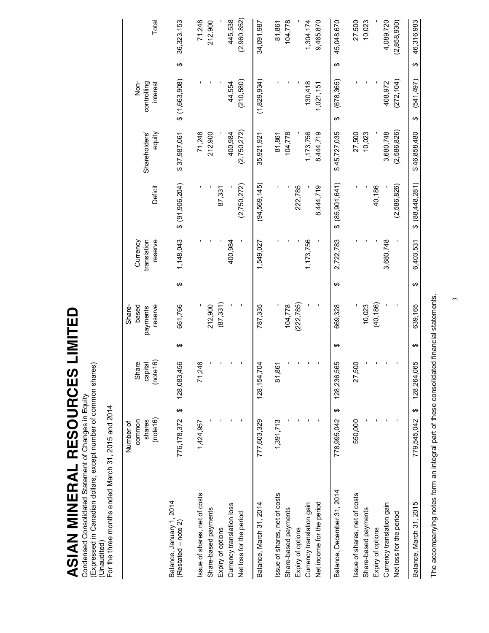**ASIAN MINERAL RESOURCES LIMITED**  ASIAN MINERAL RESOURCES LIMITED

Condensed Consolidated Statement of Changes in Equity<br>(Expressed in Canadian dollars, except number of common shares)<br>(Unaudited)<br>For the three months ended March 31, 2015 and 2014 (Expressed in Canadian dollars, except number of common shares) Condensed Consolidated Statement of Changes in Equity (Unaudited)

For the three months ended March 31, 2015 and 2014

|                                                                                                                                      | (note 16)<br>shares<br>common<br>Number of | (note 16)<br>Share<br>capital |   | reserve<br>based<br>Share-<br>payments |   | translation<br>reserve<br>Currency | Deficit              | equity<br>Shareholders'                     | $rac{1}{2}$<br>controlling<br>interest |   | Total                                       |
|--------------------------------------------------------------------------------------------------------------------------------------|--------------------------------------------|-------------------------------|---|----------------------------------------|---|------------------------------------|----------------------|---------------------------------------------|----------------------------------------|---|---------------------------------------------|
| Balance, January 1, 2014<br>$(Resated - note 2)$                                                                                     | $\Theta$<br>776, 178, 372                  | 56<br>128,083,4               | ↮ | 661,766                                | ↮ | 1,148,043                          | \$ (91,906,204)      | \$37,987,061                                | $$$ (1,663,908)                        | ↮ | 36,323,153                                  |
| Issue of shares, net of costs<br>Share-based payments<br>Expiry of options                                                           | 1,424,957                                  | 71,248                        |   | (87, 331)<br>212,900                   |   |                                    | 87,331               | 71,248<br>212,900                           |                                        |   | 71,248<br>212,900                           |
| Currency translation loss<br>Net loss for the period                                                                                 |                                            |                               |   |                                        |   | 400,984                            | (2,750,272)          | (2,750,272)<br>400,984                      | (210, 580)<br>44,554                   |   | (2,960,852)<br>445,538                      |
| Balance, March 31, 2014                                                                                                              | 777,603,329                                | 128, 154, 704                 |   | 787,335                                |   | 1,549,027                          | (94,569,145)         | 35,921,921                                  | (1,829,934)                            |   | 34,091,987                                  |
| Issue of shares, net of costs<br>Net income for the period<br>Currency translation gain<br>Share-based payments<br>Expiry of options | 1,391,713                                  | 81,861                        |   | (222, 785)<br>104,778                  |   | 1,173,756                          | 222,785<br>8,444,719 | 104,778<br>1,173,756<br>8,444,719<br>81,861 | 130,418<br>1,021,151                   |   | 104,778<br>1,304,174<br>9,465,870<br>81,861 |
| Balance, December 31, 2014                                                                                                           | ↔<br>778,995,042                           | 128,236,565                   | ക | 669,328                                | ക | 2,722,783                          | \$ (85,901,641)      | \$45,727,035                                | (678, 365)<br>↔                        | ↮ | 45,048,670                                  |
| Issue of shares, net of costs<br>Share-based payments<br>Expiry of options                                                           | 550,000                                    | 27,500                        |   | (40, 186)<br>10,023                    |   |                                    | 40,186               | 27,500<br>10,023                            |                                        |   | 27,500<br>10,023                            |
| Currency translation gain<br>Net loss for the period                                                                                 |                                            |                               |   |                                        |   | 3,680,748                          | (2,586,826)          | (2,586,826)<br>3,680,748                    | (272, 104)<br>408,972                  |   | 4,089,720<br>(2,858,930)                    |
| Balance, March 31, 2015                                                                                                              | ↔<br>779,545,042                           | 128,264,065                   | ക | 639,165                                | ↮ | 6,403,531                          | (88,448,281)<br>ക    | \$46,858,480                                | (541, 497)<br>↮                        | ↮ | 46,316,983                                  |

The accompanying notes form an integral part of these consolidated financial statements. The accompanying notes form an integral part of these consolidated financial statements.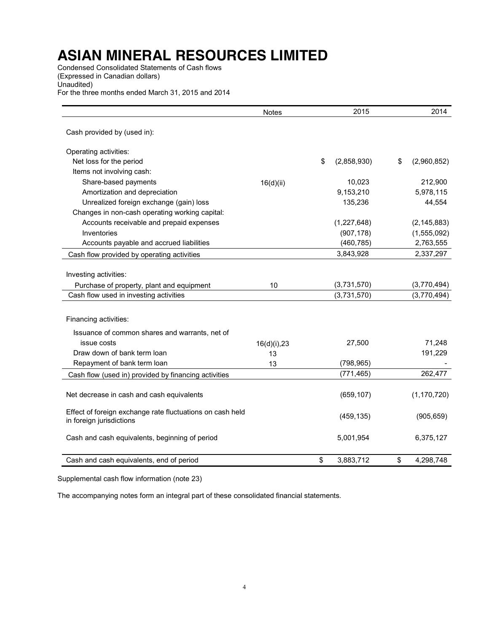# **ASIAN MINERAL RESOURCES LIMITED**

Condensed Consolidated Statements of Cash flows (Expressed in Canadian dollars) Unaudited) For the three months ended March 31, 2015 and 2014

|                                                           | <b>Notes</b> | 2015              | 2014              |
|-----------------------------------------------------------|--------------|-------------------|-------------------|
| Cash provided by (used in):                               |              |                   |                   |
| Operating activities:                                     |              |                   |                   |
| Net loss for the period                                   |              | \$<br>(2,858,930) | \$<br>(2,960,852) |
| Items not involving cash:                                 |              |                   |                   |
| Share-based payments                                      | 16(d)(ii)    | 10,023            | 212,900           |
| Amortization and depreciation                             |              | 9,153,210         | 5,978,115         |
| Unrealized foreign exchange (gain) loss                   |              | 135,236           | 44,554            |
| Changes in non-cash operating working capital:            |              |                   |                   |
| Accounts receivable and prepaid expenses                  |              | (1,227,648)       | (2, 145, 883)     |
| Inventories                                               |              | (907, 178)        | (1, 555, 092)     |
| Accounts payable and accrued liabilities                  |              | (460, 785)        | 2,763,555         |
| Cash flow provided by operating activities                |              | 3,843,928         | 2,337,297         |
|                                                           |              |                   |                   |
| Investing activities:                                     |              |                   |                   |
| Purchase of property, plant and equipment                 | 10           | (3,731,570)       | (3,770,494)       |
| Cash flow used in investing activities                    |              | (3,731,570)       | (3,770,494)       |
|                                                           |              |                   |                   |
| Financing activities:                                     |              |                   |                   |
| Issuance of common shares and warrants, net of            |              |                   |                   |
| issue costs                                               | 16(d)(i), 23 | 27,500            | 71,248            |
| Draw down of bank term loan                               | 13           |                   | 191,229           |
| Repayment of bank term loan                               | 13           | (798, 965)        |                   |
| Cash flow (used in) provided by financing activities      |              | (771, 465)        | 262,477           |
|                                                           |              |                   |                   |
| Net decrease in cash and cash equivalents                 |              | (659, 107)        | (1, 170, 720)     |
| Effect of foreign exchange rate fluctuations on cash held |              |                   |                   |
| in foreign jurisdictions                                  |              | (459, 135)        | (905, 659)        |
| Cash and cash equivalents, beginning of period            |              | 5,001,954         | 6,375,127         |
|                                                           |              |                   |                   |
| Cash and cash equivalents, end of period                  |              | \$<br>3,883,712   | \$<br>4,298,748   |

Supplemental cash flow information (note 23)

The accompanying notes form an integral part of these consolidated financial statements.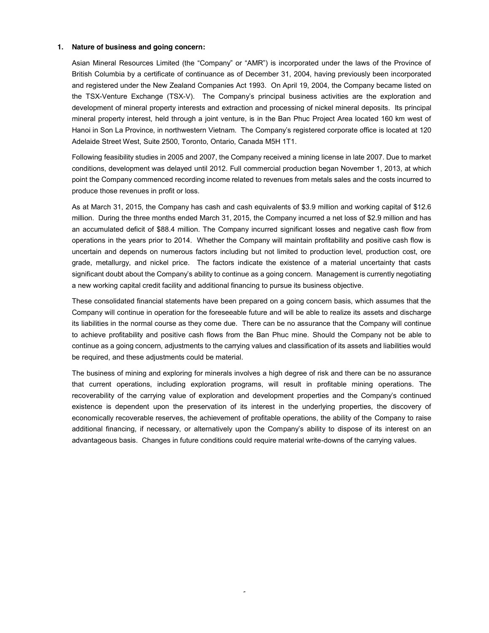#### **1. Nature of business and going concern:**

Asian Mineral Resources Limited (the "Company" or "AMR") is incorporated under the laws of the Province of British Columbia by a certificate of continuance as of December 31, 2004, having previously been incorporated and registered under the New Zealand Companies Act 1993. On April 19, 2004, the Company became listed on the TSX-Venture Exchange (TSX-V). The Company's principal business activities are the exploration and development of mineral property interests and extraction and processing of nickel mineral deposits. Its principal mineral property interest, held through a joint venture, is in the Ban Phuc Project Area located 160 km west of Hanoi in Son La Province, in northwestern Vietnam. The Company's registered corporate office is located at 120 Adelaide Street West, Suite 2500, Toronto, Ontario, Canada M5H 1T1.

Following feasibility studies in 2005 and 2007, the Company received a mining license in late 2007. Due to market conditions, development was delayed until 2012. Full commercial production began November 1, 2013, at which point the Company commenced recording income related to revenues from metals sales and the costs incurred to produce those revenues in profit or loss.

As at March 31, 2015, the Company has cash and cash equivalents of \$3.9 million and working capital of \$12.6 million. During the three months ended March 31, 2015, the Company incurred a net loss of \$2.9 million and has an accumulated deficit of \$88.4 million. The Company incurred significant losses and negative cash flow from operations in the years prior to 2014. Whether the Company will maintain profitability and positive cash flow is uncertain and depends on numerous factors including but not limited to production level, production cost, ore grade, metallurgy, and nickel price. The factors indicate the existence of a material uncertainty that casts significant doubt about the Company's ability to continue as a going concern. Management is currently negotiating a new working capital credit facility and additional financing to pursue its business objective.

These consolidated financial statements have been prepared on a going concern basis, which assumes that the Company will continue in operation for the foreseeable future and will be able to realize its assets and discharge its liabilities in the normal course as they come due. There can be no assurance that the Company will continue to achieve profitability and positive cash flows from the Ban Phuc mine. Should the Company not be able to continue as a going concern, adjustments to the carrying values and classification of its assets and liabilities would be required, and these adjustments could be material.

The business of mining and exploring for minerals involves a high degree of risk and there can be no assurance that current operations, including exploration programs, will result in profitable mining operations. The recoverability of the carrying value of exploration and development properties and the Company's continued existence is dependent upon the preservation of its interest in the underlying properties, the discovery of economically recoverable reserves, the achievement of profitable operations, the ability of the Company to raise additional financing, if necessary, or alternatively upon the Company's ability to dispose of its interest on an advantageous basis. Changes in future conditions could require material write-downs of the carrying values.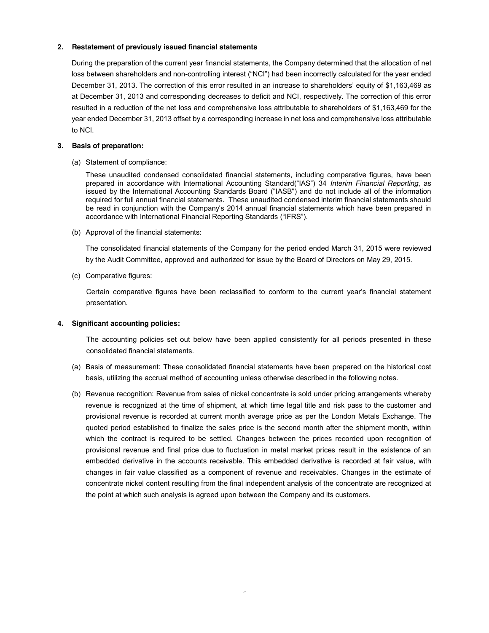# **2. Restatement of previously issued financial statements**

During the preparation of the current year financial statements, the Company determined that the allocation of net loss between shareholders and non-controlling interest ("NCI") had been incorrectly calculated for the year ended December 31, 2013. The correction of this error resulted in an increase to shareholders' equity of \$1,163,469 as at December 31, 2013 and corresponding decreases to deficit and NCI, respectively. The correction of this error resulted in a reduction of the net loss and comprehensive loss attributable to shareholders of \$1,163,469 for the year ended December 31, 2013 offset by a corresponding increase in net loss and comprehensive loss attributable to NCI.

#### **3. Basis of preparation:**

(a) Statement of compliance:

These unaudited condensed consolidated financial statements, including comparative figures, have been prepared in accordance with International Accounting Standard("IAS") 34 *Interim Financial Reporting*, as issued by the International Accounting Standards Board ("IASB") and do not include all of the information required for full annual financial statements. These unaudited condensed interim financial statements should be read in conjunction with the Company's 2014 annual financial statements which have been prepared in accordance with International Financial Reporting Standards ("IFRS").

(b) Approval of the financial statements:

The consolidated financial statements of the Company for the period ended March 31, 2015 were reviewed by the Audit Committee, approved and authorized for issue by the Board of Directors on May 29, 2015.

(c) Comparative figures:

Certain comparative figures have been reclassified to conform to the current year's financial statement presentation.

#### **4. Significant accounting policies:**

The accounting policies set out below have been applied consistently for all periods presented in these consolidated financial statements.

- (a) Basis of measurement: These consolidated financial statements have been prepared on the historical cost basis, utilizing the accrual method of accounting unless otherwise described in the following notes.
- (b) Revenue recognition: Revenue from sales of nickel concentrate is sold under pricing arrangements whereby revenue is recognized at the time of shipment, at which time legal title and risk pass to the customer and provisional revenue is recorded at current month average price as per the London Metals Exchange. The quoted period established to finalize the sales price is the second month after the shipment month, within which the contract is required to be settled. Changes between the prices recorded upon recognition of provisional revenue and final price due to fluctuation in metal market prices result in the existence of an embedded derivative in the accounts receivable. This embedded derivative is recorded at fair value, with changes in fair value classified as a component of revenue and receivables. Changes in the estimate of concentrate nickel content resulting from the final independent analysis of the concentrate are recognized at the point at which such analysis is agreed upon between the Company and its customers.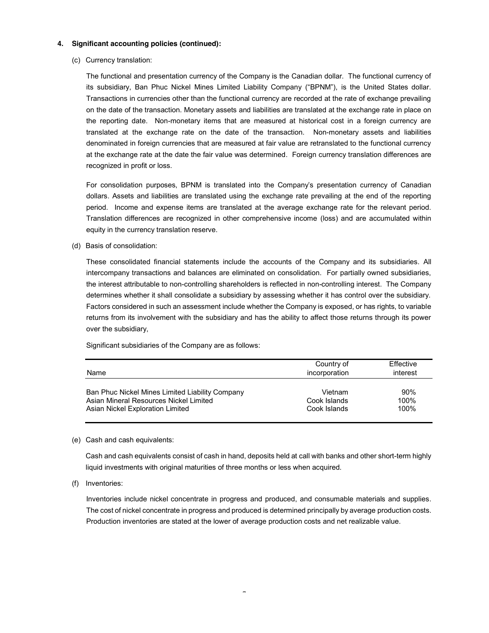(c) Currency translation:

The functional and presentation currency of the Company is the Canadian dollar. The functional currency of its subsidiary, Ban Phuc Nickel Mines Limited Liability Company ("BPNM"), is the United States dollar. Transactions in currencies other than the functional currency are recorded at the rate of exchange prevailing on the date of the transaction. Monetary assets and liabilities are translated at the exchange rate in place on the reporting date. Non-monetary items that are measured at historical cost in a foreign currency are translated at the exchange rate on the date of the transaction. Non-monetary assets and liabilities denominated in foreign currencies that are measured at fair value are retranslated to the functional currency at the exchange rate at the date the fair value was determined. Foreign currency translation differences are recognized in profit or loss.

For consolidation purposes, BPNM is translated into the Company's presentation currency of Canadian dollars. Assets and liabilities are translated using the exchange rate prevailing at the end of the reporting period. Income and expense items are translated at the average exchange rate for the relevant period. Translation differences are recognized in other comprehensive income (loss) and are accumulated within equity in the currency translation reserve.

(d) Basis of consolidation:

These consolidated financial statements include the accounts of the Company and its subsidiaries. All intercompany transactions and balances are eliminated on consolidation. For partially owned subsidiaries, the interest attributable to non-controlling shareholders is reflected in non-controlling interest. The Company determines whether it shall consolidate a subsidiary by assessing whether it has control over the subsidiary. Factors considered in such an assessment include whether the Company is exposed, or has rights, to variable returns from its involvement with the subsidiary and has the ability to affect those returns through its power over the subsidiary,

Significant subsidiaries of the Company are as follows:

| Name                                            | Country of<br>incorporation | Effective<br>interest |
|-------------------------------------------------|-----------------------------|-----------------------|
| Ban Phuc Nickel Mines Limited Liability Company | Vietnam                     | 90%                   |
| Asian Mineral Resources Nickel Limited          | Cook Islands                | 100%                  |
| Asian Nickel Exploration Limited                | Cook Islands                | 100%                  |

(e) Cash and cash equivalents:

Cash and cash equivalents consist of cash in hand, deposits held at call with banks and other short-term highly liquid investments with original maturities of three months or less when acquired.

(f) Inventories:

Inventories include nickel concentrate in progress and produced, and consumable materials and supplies. The cost of nickel concentrate in progress and produced is determined principally by average production costs. Production inventories are stated at the lower of average production costs and net realizable value.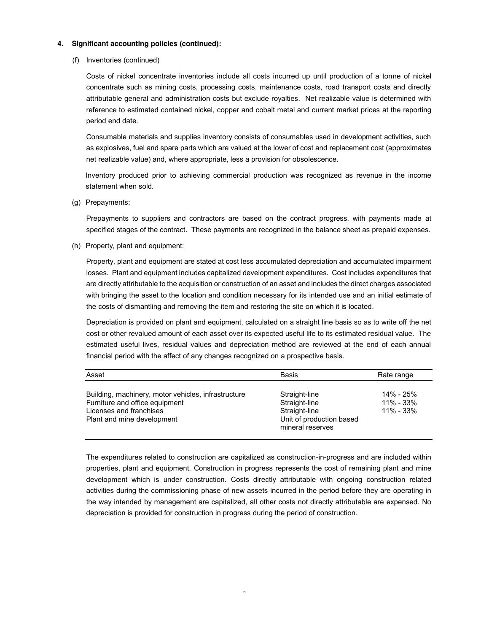(f) Inventories (continued)

Costs of nickel concentrate inventories include all costs incurred up until production of a tonne of nickel concentrate such as mining costs, processing costs, maintenance costs, road transport costs and directly attributable general and administration costs but exclude royalties. Net realizable value is determined with reference to estimated contained nickel, copper and cobalt metal and current market prices at the reporting period end date.

Consumable materials and supplies inventory consists of consumables used in development activities, such as explosives, fuel and spare parts which are valued at the lower of cost and replacement cost (approximates net realizable value) and, where appropriate, less a provision for obsolescence.

Inventory produced prior to achieving commercial production was recognized as revenue in the income statement when sold.

(g) Prepayments:

Prepayments to suppliers and contractors are based on the contract progress, with payments made at specified stages of the contract. These payments are recognized in the balance sheet as prepaid expenses.

(h) Property, plant and equipment:

Property, plant and equipment are stated at cost less accumulated depreciation and accumulated impairment losses. Plant and equipment includes capitalized development expenditures. Cost includes expenditures that are directly attributable to the acquisition or construction of an asset and includes the direct charges associated with bringing the asset to the location and condition necessary for its intended use and an initial estimate of the costs of dismantling and removing the item and restoring the site on which it is located.

Depreciation is provided on plant and equipment, calculated on a straight line basis so as to write off the net cost or other revalued amount of each asset over its expected useful life to its estimated residual value. The estimated useful lives, residual values and depreciation method are reviewed at the end of each annual financial period with the affect of any changes recognized on a prospective basis.

| Asset                                                                                                                                          | <b>Basis</b>                                                                                    | Rate range                                  |
|------------------------------------------------------------------------------------------------------------------------------------------------|-------------------------------------------------------------------------------------------------|---------------------------------------------|
| Building, machinery, motor vehicles, infrastructure<br>Furniture and office equipment<br>Licenses and franchises<br>Plant and mine development | Straight-line<br>Straight-line<br>Straight-line<br>Unit of production based<br>mineral reserves | 14% - 25%<br>$11\% - 33\%$<br>$11\% - 33\%$ |

The expenditures related to construction are capitalized as construction-in-progress and are included within properties, plant and equipment. Construction in progress represents the cost of remaining plant and mine development which is under construction. Costs directly attributable with ongoing construction related activities during the commissioning phase of new assets incurred in the period before they are operating in the way intended by management are capitalized, all other costs not directly attributable are expensed. No depreciation is provided for construction in progress during the period of construction.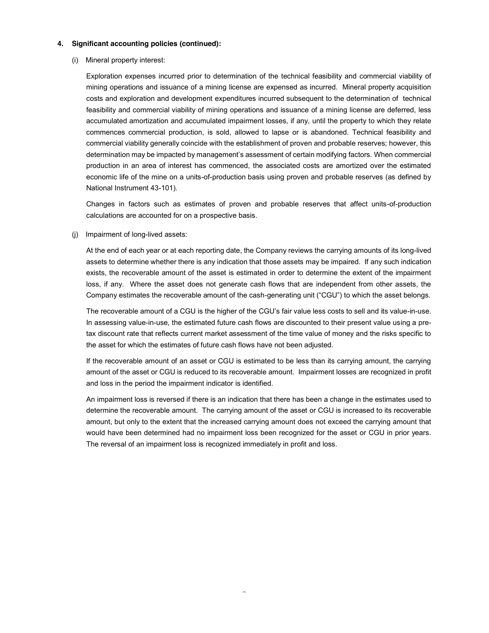(i) Mineral property interest:

Exploration expenses incurred prior to determination of the technical feasibility and commercial viability of mining operations and issuance of a mining license are expensed as incurred. Mineral property acquisition costs and exploration and development expenditures incurred subsequent to the determination of technical feasibility and commercial viability of mining operations and issuance of a mining license are deferred, less accumulated amortization and accumulated impairment losses, if any, until the property to which they relate commences commercial production, is sold, allowed to lapse or is abandoned. Technical feasibility and commercial viability generally coincide with the establishment of proven and probable reserves; however, this determination may be impacted by management's assessment of certain modifying factors. When commercial production in an area of interest has commenced, the associated costs are amortized over the estimated economic life of the mine on a units-of-production basis using proven and probable reserves (as defined by National Instrument 43-101).

Changes in factors such as estimates of proven and probable reserves that affect units-of-production calculations are accounted for on a prospective basis.

(j) Impairment of long-lived assets:

At the end of each year or at each reporting date, the Company reviews the carrying amounts of its long-lived assets to determine whether there is any indication that those assets may be impaired. If any such indication exists, the recoverable amount of the asset is estimated in order to determine the extent of the impairment loss, if any. Where the asset does not generate cash flows that are independent from other assets, the Company estimates the recoverable amount of the cash-generating unit ("CGU") to which the asset belongs.

The recoverable amount of a CGU is the higher of the CGU's fair value less costs to sell and its value-in-use. In assessing value-in-use, the estimated future cash flows are discounted to their present value using a pretax discount rate that reflects current market assessment of the time value of money and the risks specific to the asset for which the estimates of future cash flows have not been adjusted.

If the recoverable amount of an asset or CGU is estimated to be less than its carrying amount, the carrying amount of the asset or CGU is reduced to its recoverable amount. Impairment losses are recognized in profit and loss in the period the impairment indicator is identified.

An impairment loss is reversed if there is an indication that there has been a change in the estimates used to determine the recoverable amount. The carrying amount of the asset or CGU is increased to its recoverable amount, but only to the extent that the increased carrying amount does not exceed the carrying amount that would have been determined had no impairment loss been recognized for the asset or CGU in prior years. The reversal of an impairment loss is recognized immediately in profit and loss.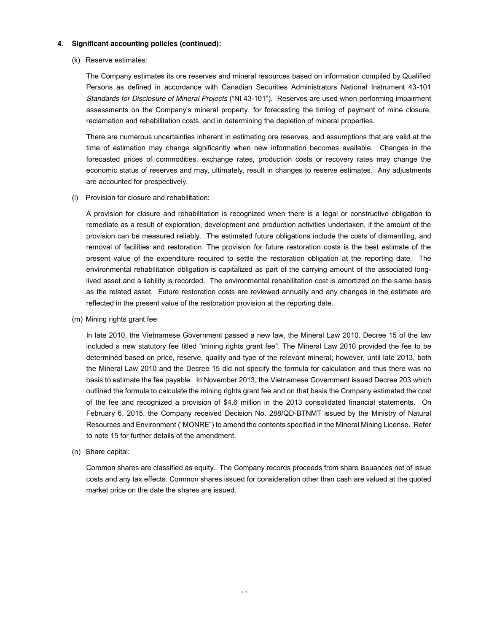(k) Reserve estimates:

The Company estimates its ore reserves and mineral resources based on information compiled by Qualified Persons as defined in accordance with Canadian Securities Administrators National Instrument 43-101 *Standards for Disclosure of Mineral Projects* ("NI 43-101"). Reserves are used when performing impairment assessments on the Company's mineral property, for forecasting the timing of payment of mine closure, reclamation and rehabilitation costs, and in determining the depletion of mineral properties.

There are numerous uncertainties inherent in estimating ore reserves, and assumptions that are valid at the time of estimation may change significantly when new information becomes available. Changes in the forecasted prices of commodities, exchange rates, production costs or recovery rates may change the economic status of reserves and may, ultimately, result in changes to reserve estimates. Any adjustments are accounted for prospectively.

(l) Provision for closure and rehabilitation:

A provision for closure and rehabilitation is recognized when there is a legal or constructive obligation to remediate as a result of exploration, development and production activities undertaken, if the amount of the provision can be measured reliably. The estimated future obligations include the costs of dismantling, and removal of facilities and restoration. The provision for future restoration costs is the best estimate of the present value of the expenditure required to settle the restoration obligation at the reporting date. The environmental rehabilitation obligation is capitalized as part of the carrying amount of the associated longlived asset and a liability is recorded. The environmental rehabilitation cost is amortized on the same basis as the related asset. Future restoration costs are reviewed annually and any changes in the estimate are reflected in the present value of the restoration provision at the reporting date.

(m) Mining rights grant fee:

In late 2010, the Vietnamese Government passed a new law, the Mineral Law 2010. Decree 15 of the law included a new statutory fee titled "mining rights grant fee". The Mineral Law 2010 provided the fee to be determined based on price, reserve, quality and type of the relevant mineral; however, until late 2013, both the Mineral Law 2010 and the Decree 15 did not specify the formula for calculation and thus there was no basis to estimate the fee payable. In November 2013, the Vietnamese Government issued Decree 203 which outlined the formula to calculate the mining rights grant fee and on that basis the Company estimated the cost of the fee and recognized a provision of \$4.6 million in the 2013 consolidated financial statements. On February 6, 2015, the Company received Decision No. 288/QD-BTNMT issued by the Ministry of Natural Resources and Environment ("MONRE") to amend the contents specified in the Mineral Mining License. Refer to note 15 for further details of the amendment.

(n) Share capital:

Common shares are classified as equity. The Company records proceeds from share issuances net of issue costs and any tax effects. Common shares issued for consideration other than cash are valued at the quoted market price on the date the shares are issued.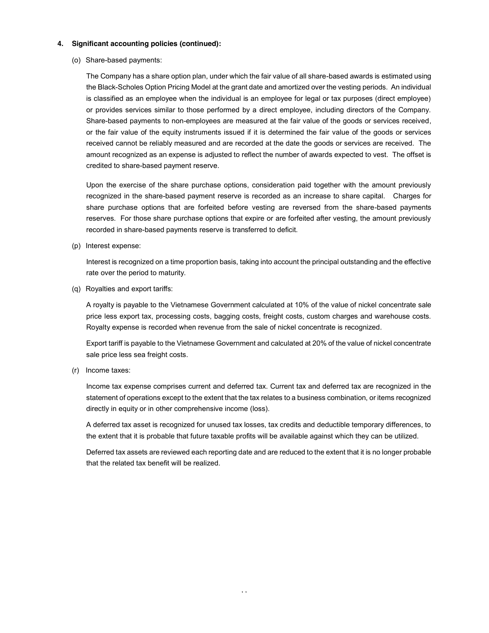(o) Share-based payments:

The Company has a share option plan, under which the fair value of all share-based awards is estimated using the Black-Scholes Option Pricing Model at the grant date and amortized over the vesting periods. An individual is classified as an employee when the individual is an employee for legal or tax purposes (direct employee) or provides services similar to those performed by a direct employee, including directors of the Company. Share-based payments to non-employees are measured at the fair value of the goods or services received, or the fair value of the equity instruments issued if it is determined the fair value of the goods or services received cannot be reliably measured and are recorded at the date the goods or services are received. The amount recognized as an expense is adjusted to reflect the number of awards expected to vest. The offset is credited to share-based payment reserve.

Upon the exercise of the share purchase options, consideration paid together with the amount previously recognized in the share-based payment reserve is recorded as an increase to share capital. Charges for share purchase options that are forfeited before vesting are reversed from the share-based payments reserves. For those share purchase options that expire or are forfeited after vesting, the amount previously recorded in share-based payments reserve is transferred to deficit.

(p) Interest expense:

Interest is recognized on a time proportion basis, taking into account the principal outstanding and the effective rate over the period to maturity.

(q) Royalties and export tariffs:

A royalty is payable to the Vietnamese Government calculated at 10% of the value of nickel concentrate sale price less export tax, processing costs, bagging costs, freight costs, custom charges and warehouse costs. Royalty expense is recorded when revenue from the sale of nickel concentrate is recognized.

Export tariff is payable to the Vietnamese Government and calculated at 20% of the value of nickel concentrate sale price less sea freight costs.

(r) Income taxes:

Income tax expense comprises current and deferred tax. Current tax and deferred tax are recognized in the statement of operations except to the extent that the tax relates to a business combination, or items recognized directly in equity or in other comprehensive income (loss).

A deferred tax asset is recognized for unused tax losses, tax credits and deductible temporary differences, to the extent that it is probable that future taxable profits will be available against which they can be utilized.

Deferred tax assets are reviewed each reporting date and are reduced to the extent that it is no longer probable that the related tax benefit will be realized.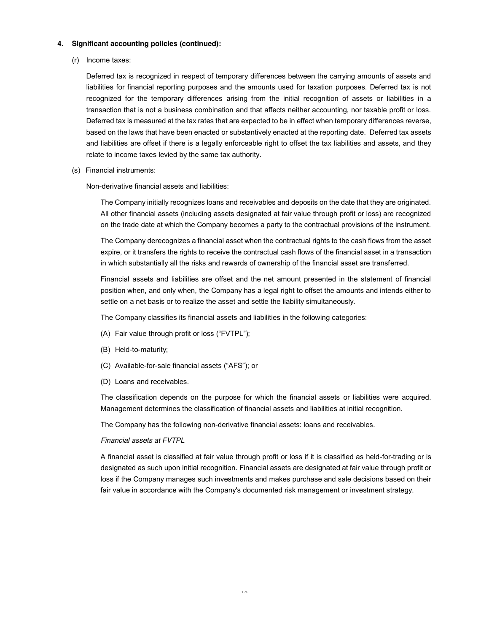(r) Income taxes:

Deferred tax is recognized in respect of temporary differences between the carrying amounts of assets and liabilities for financial reporting purposes and the amounts used for taxation purposes. Deferred tax is not recognized for the temporary differences arising from the initial recognition of assets or liabilities in a transaction that is not a business combination and that affects neither accounting, nor taxable profit or loss. Deferred tax is measured at the tax rates that are expected to be in effect when temporary differences reverse, based on the laws that have been enacted or substantively enacted at the reporting date. Deferred tax assets and liabilities are offset if there is a legally enforceable right to offset the tax liabilities and assets, and they relate to income taxes levied by the same tax authority.

(s) Financial instruments:

Non-derivative financial assets and liabilities:

The Company initially recognizes loans and receivables and deposits on the date that they are originated. All other financial assets (including assets designated at fair value through profit or loss) are recognized on the trade date at which the Company becomes a party to the contractual provisions of the instrument.

The Company derecognizes a financial asset when the contractual rights to the cash flows from the asset expire, or it transfers the rights to receive the contractual cash flows of the financial asset in a transaction in which substantially all the risks and rewards of ownership of the financial asset are transferred.

Financial assets and liabilities are offset and the net amount presented in the statement of financial position when, and only when, the Company has a legal right to offset the amounts and intends either to settle on a net basis or to realize the asset and settle the liability simultaneously.

The Company classifies its financial assets and liabilities in the following categories:

- (A) Fair value through profit or loss ("FVTPL");
- (B) Held-to-maturity;
- (C) Available-for-sale financial assets ("AFS"); or
- (D) Loans and receivables.

The classification depends on the purpose for which the financial assets or liabilities were acquired. Management determines the classification of financial assets and liabilities at initial recognition.

The Company has the following non-derivative financial assets: loans and receivables.

#### *Financial assets at FVTPL*

A financial asset is classified at fair value through profit or loss if it is classified as held-for-trading or is designated as such upon initial recognition. Financial assets are designated at fair value through profit or loss if the Company manages such investments and makes purchase and sale decisions based on their fair value in accordance with the Company's documented risk management or investment strategy.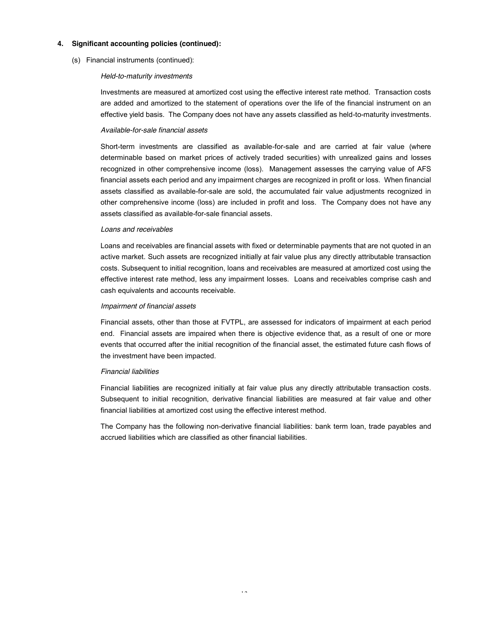(s) Financial instruments (continued):

#### *Held-to-maturity investments*

Investments are measured at amortized cost using the effective interest rate method. Transaction costs are added and amortized to the statement of operations over the life of the financial instrument on an effective yield basis. The Company does not have any assets classified as held-to-maturity investments.

#### *Available-for-sale financial assets*

Short-term investments are classified as available-for-sale and are carried at fair value (where determinable based on market prices of actively traded securities) with unrealized gains and losses recognized in other comprehensive income (loss). Management assesses the carrying value of AFS financial assets each period and any impairment charges are recognized in profit or loss. When financial assets classified as available-for-sale are sold, the accumulated fair value adjustments recognized in other comprehensive income (loss) are included in profit and loss. The Company does not have any assets classified as available-for-sale financial assets.

#### *Loans and receivables*

Loans and receivables are financial assets with fixed or determinable payments that are not quoted in an active market. Such assets are recognized initially at fair value plus any directly attributable transaction costs. Subsequent to initial recognition, loans and receivables are measured at amortized cost using the effective interest rate method, less any impairment losses. Loans and receivables comprise cash and cash equivalents and accounts receivable.

#### *Impairment of financial assets*

Financial assets, other than those at FVTPL, are assessed for indicators of impairment at each period end. Financial assets are impaired when there is objective evidence that, as a result of one or more events that occurred after the initial recognition of the financial asset, the estimated future cash flows of the investment have been impacted.

#### *Financial liabilities*

Financial liabilities are recognized initially at fair value plus any directly attributable transaction costs. Subsequent to initial recognition, derivative financial liabilities are measured at fair value and other financial liabilities at amortized cost using the effective interest method.

The Company has the following non-derivative financial liabilities: bank term loan, trade payables and accrued liabilities which are classified as other financial liabilities.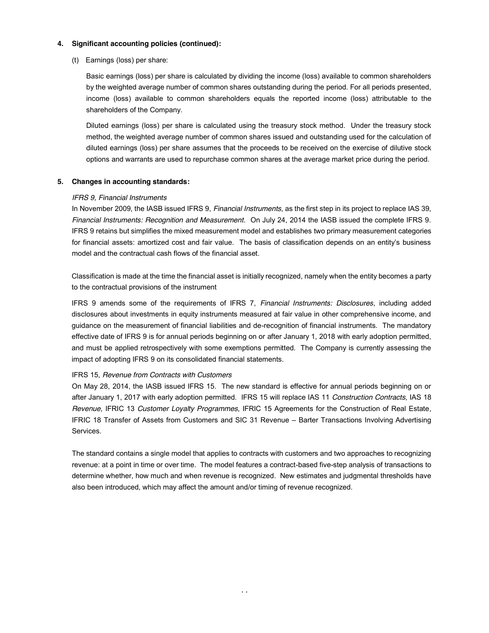(t) Earnings (loss) per share:

Basic earnings (loss) per share is calculated by dividing the income (loss) available to common shareholders by the weighted average number of common shares outstanding during the period. For all periods presented, income (loss) available to common shareholders equals the reported income (loss) attributable to the shareholders of the Company.

Diluted earnings (loss) per share is calculated using the treasury stock method. Under the treasury stock method, the weighted average number of common shares issued and outstanding used for the calculation of diluted earnings (loss) per share assumes that the proceeds to be received on the exercise of dilutive stock options and warrants are used to repurchase common shares at the average market price during the period.

#### **5. Changes in accounting standards:**

#### *IFRS 9, Financial Instruments*

In November 2009, the IASB issued IFRS 9, *Financial Instruments*, as the first step in its project to replace IAS 39, *Financial Instruments: Recognition and Measurement*. On July 24, 2014 the IASB issued the complete IFRS 9. IFRS 9 retains but simplifies the mixed measurement model and establishes two primary measurement categories for financial assets: amortized cost and fair value. The basis of classification depends on an entity's business model and the contractual cash flows of the financial asset.

Classification is made at the time the financial asset is initially recognized, namely when the entity becomes a party to the contractual provisions of the instrument

IFRS 9 amends some of the requirements of IFRS 7, *Financial Instruments: Disclosures*, including added disclosures about investments in equity instruments measured at fair value in other comprehensive income, and guidance on the measurement of financial liabilities and de-recognition of financial instruments. The mandatory effective date of IFRS 9 is for annual periods beginning on or after January 1, 2018 with early adoption permitted, and must be applied retrospectively with some exemptions permitted. The Company is currently assessing the impact of adopting IFRS 9 on its consolidated financial statements.

# IFRS 15, *Revenue from Contracts with Customers*

On May 28, 2014, the IASB issued IFRS 15. The new standard is effective for annual periods beginning on or after January 1, 2017 with early adoption permitted. IFRS 15 will replace IAS 11 *Construction Contracts*, IAS 18 *Revenue*, IFRIC 13 *Customer Loyalty Programmes*, IFRIC 15 Agreements for the Construction of Real Estate, IFRIC 18 Transfer of Assets from Customers and SIC 31 Revenue – Barter Transactions Involving Advertising Services.

The standard contains a single model that applies to contracts with customers and two approaches to recognizing revenue: at a point in time or over time. The model features a contract-based five-step analysis of transactions to determine whether, how much and when revenue is recognized. New estimates and judgmental thresholds have also been introduced, which may affect the amount and/or timing of revenue recognized.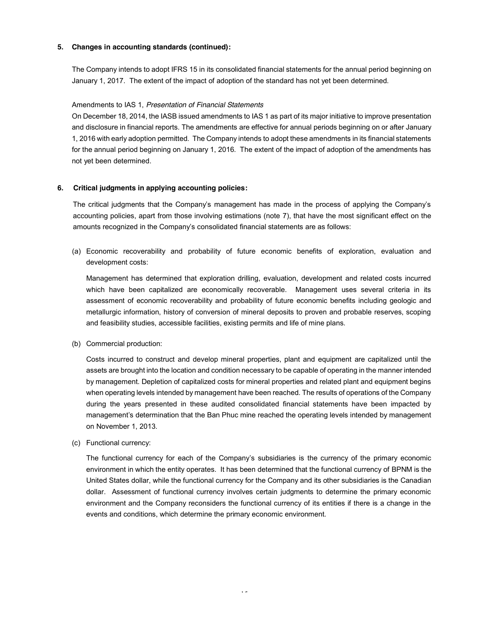# **5. Changes in accounting standards (continued):**

The Company intends to adopt IFRS 15 in its consolidated financial statements for the annual period beginning on January 1, 2017. The extent of the impact of adoption of the standard has not yet been determined.

# Amendments to IAS 1, *Presentation of Financial Statements*

On December 18, 2014, the IASB issued amendments to IAS 1 as part of its major initiative to improve presentation and disclosure in financial reports. The amendments are effective for annual periods beginning on or after January 1, 2016 with early adoption permitted. The Company intends to adopt these amendments in its financial statements for the annual period beginning on January 1, 2016. The extent of the impact of adoption of the amendments has not yet been determined.

# **6. Critical judgments in applying accounting policies:**

The critical judgments that the Company's management has made in the process of applying the Company's accounting policies, apart from those involving estimations (note 7), that have the most significant effect on the amounts recognized in the Company's consolidated financial statements are as follows:

(a) Economic recoverability and probability of future economic benefits of exploration, evaluation and development costs:

Management has determined that exploration drilling, evaluation, development and related costs incurred which have been capitalized are economically recoverable. Management uses several criteria in its assessment of economic recoverability and probability of future economic benefits including geologic and metallurgic information, history of conversion of mineral deposits to proven and probable reserves, scoping and feasibility studies, accessible facilities, existing permits and life of mine plans.

(b) Commercial production:

Costs incurred to construct and develop mineral properties, plant and equipment are capitalized until the assets are brought into the location and condition necessary to be capable of operating in the manner intended by management. Depletion of capitalized costs for mineral properties and related plant and equipment begins when operating levels intended by management have been reached. The results of operations of the Company during the years presented in these audited consolidated financial statements have been impacted by management's determination that the Ban Phuc mine reached the operating levels intended by management on November 1, 2013.

(c) Functional currency:

The functional currency for each of the Company's subsidiaries is the currency of the primary economic environment in which the entity operates. It has been determined that the functional currency of BPNM is the United States dollar, while the functional currency for the Company and its other subsidiaries is the Canadian dollar. Assessment of functional currency involves certain judgments to determine the primary economic environment and the Company reconsiders the functional currency of its entities if there is a change in the events and conditions, which determine the primary economic environment.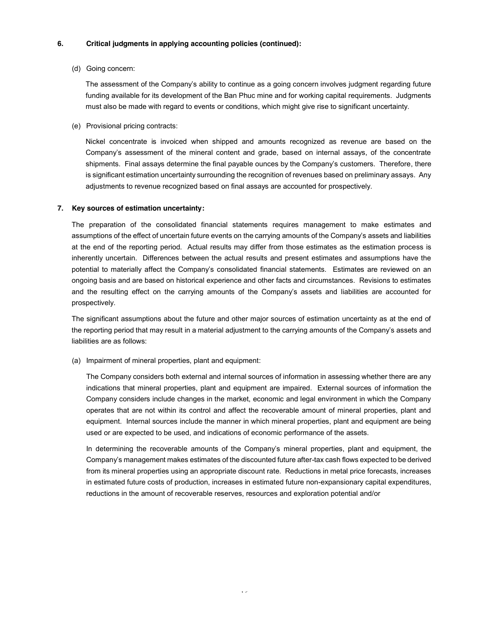# **6. Critical judgments in applying accounting policies (continued):**

# (d) Going concern:

The assessment of the Company's ability to continue as a going concern involves judgment regarding future funding available for its development of the Ban Phuc mine and for working capital requirements. Judgments must also be made with regard to events or conditions, which might give rise to significant uncertainty.

(e) Provisional pricing contracts:

Nickel concentrate is invoiced when shipped and amounts recognized as revenue are based on the Company's assessment of the mineral content and grade, based on internal assays, of the concentrate shipments. Final assays determine the final payable ounces by the Company's customers. Therefore, there is significant estimation uncertainty surrounding the recognition of revenues based on preliminary assays. Any adjustments to revenue recognized based on final assays are accounted for prospectively.

# **7. Key sources of estimation uncertainty:**

The preparation of the consolidated financial statements requires management to make estimates and assumptions of the effect of uncertain future events on the carrying amounts of the Company's assets and liabilities at the end of the reporting period. Actual results may differ from those estimates as the estimation process is inherently uncertain. Differences between the actual results and present estimates and assumptions have the potential to materially affect the Company's consolidated financial statements. Estimates are reviewed on an ongoing basis and are based on historical experience and other facts and circumstances. Revisions to estimates and the resulting effect on the carrying amounts of the Company's assets and liabilities are accounted for prospectively.

The significant assumptions about the future and other major sources of estimation uncertainty as at the end of the reporting period that may result in a material adjustment to the carrying amounts of the Company's assets and liabilities are as follows:

(a) Impairment of mineral properties, plant and equipment:

The Company considers both external and internal sources of information in assessing whether there are any indications that mineral properties, plant and equipment are impaired. External sources of information the Company considers include changes in the market, economic and legal environment in which the Company operates that are not within its control and affect the recoverable amount of mineral properties, plant and equipment. Internal sources include the manner in which mineral properties, plant and equipment are being used or are expected to be used, and indications of economic performance of the assets.

In determining the recoverable amounts of the Company's mineral properties, plant and equipment, the Company's management makes estimates of the discounted future after-tax cash flows expected to be derived from its mineral properties using an appropriate discount rate. Reductions in metal price forecasts, increases in estimated future costs of production, increases in estimated future non-expansionary capital expenditures, reductions in the amount of recoverable reserves, resources and exploration potential and/or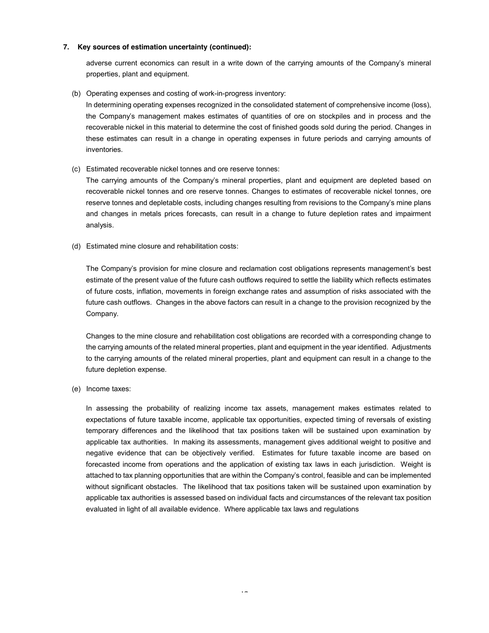# **7. Key sources of estimation uncertainty (continued):**

adverse current economics can result in a write down of the carrying amounts of the Company's mineral properties, plant and equipment.

(b) Operating expenses and costing of work-in-progress inventory:

In determining operating expenses recognized in the consolidated statement of comprehensive income (loss), the Company's management makes estimates of quantities of ore on stockpiles and in process and the recoverable nickel in this material to determine the cost of finished goods sold during the period. Changes in these estimates can result in a change in operating expenses in future periods and carrying amounts of inventories.

(c) Estimated recoverable nickel tonnes and ore reserve tonnes:

The carrying amounts of the Company's mineral properties, plant and equipment are depleted based on recoverable nickel tonnes and ore reserve tonnes. Changes to estimates of recoverable nickel tonnes, ore reserve tonnes and depletable costs, including changes resulting from revisions to the Company's mine plans and changes in metals prices forecasts, can result in a change to future depletion rates and impairment analysis.

(d) Estimated mine closure and rehabilitation costs:

The Company's provision for mine closure and reclamation cost obligations represents management's best estimate of the present value of the future cash outflows required to settle the liability which reflects estimates of future costs, inflation, movements in foreign exchange rates and assumption of risks associated with the future cash outflows. Changes in the above factors can result in a change to the provision recognized by the Company.

Changes to the mine closure and rehabilitation cost obligations are recorded with a corresponding change to the carrying amounts of the related mineral properties, plant and equipment in the year identified. Adjustments to the carrying amounts of the related mineral properties, plant and equipment can result in a change to the future depletion expense.

(e) Income taxes:

In assessing the probability of realizing income tax assets, management makes estimates related to expectations of future taxable income, applicable tax opportunities, expected timing of reversals of existing temporary differences and the likelihood that tax positions taken will be sustained upon examination by applicable tax authorities. In making its assessments, management gives additional weight to positive and negative evidence that can be objectively verified. Estimates for future taxable income are based on forecasted income from operations and the application of existing tax laws in each jurisdiction. Weight is attached to tax planning opportunities that are within the Company's control, feasible and can be implemented without significant obstacles. The likelihood that tax positions taken will be sustained upon examination by applicable tax authorities is assessed based on individual facts and circumstances of the relevant tax position evaluated in light of all available evidence. Where applicable tax laws and regulations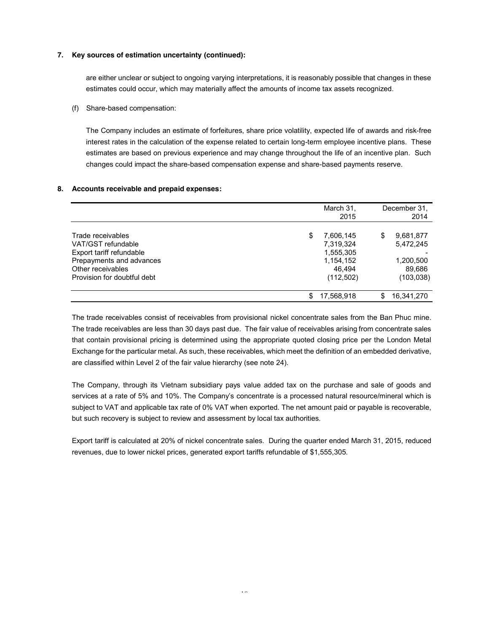# **7. Key sources of estimation uncertainty (continued):**

are either unclear or subject to ongoing varying interpretations, it is reasonably possible that changes in these estimates could occur, which may materially affect the amounts of income tax assets recognized.

# (f) Share-based compensation:

The Company includes an estimate of forfeitures, share price volatility, expected life of awards and risk-free interest rates in the calculation of the expense related to certain long-term employee incentive plans. These estimates are based on previous experience and may change throughout the life of an incentive plan. Such changes could impact the share-based compensation expense and share-based payments reserve.

# **8. Accounts receivable and prepaid expenses:**

|                                               |   | March 31,<br>2015      |    | December 31,<br>2014   |
|-----------------------------------------------|---|------------------------|----|------------------------|
| Trade receivables<br>VAT/GST refundable       | S | 7.606.145<br>7,319,324 | S  | 9,681,877<br>5,472,245 |
| Export tariff refundable                      |   | 1,555,305              |    |                        |
| Prepayments and advances<br>Other receivables |   | 1,154,152<br>46.494    |    | 1,200,500<br>89,686    |
| Provision for doubtful debt                   |   | (112,502)              |    | (103, 038)             |
|                                               |   | 17,568,918             | \$ | 16,341,270             |

The trade receivables consist of receivables from provisional nickel concentrate sales from the Ban Phuc mine. The trade receivables are less than 30 days past due. The fair value of receivables arising from concentrate sales that contain provisional pricing is determined using the appropriate quoted closing price per the London Metal Exchange for the particular metal. As such, these receivables, which meet the definition of an embedded derivative, are classified within Level 2 of the fair value hierarchy (see note 24).

The Company, through its Vietnam subsidiary pays value added tax on the purchase and sale of goods and services at a rate of 5% and 10%. The Company's concentrate is a processed natural resource/mineral which is subject to VAT and applicable tax rate of 0% VAT when exported. The net amount paid or payable is recoverable, but such recovery is subject to review and assessment by local tax authorities.

Export tariff is calculated at 20% of nickel concentrate sales. During the quarter ended March 31, 2015, reduced revenues, due to lower nickel prices, generated export tariffs refundable of \$1,555,305.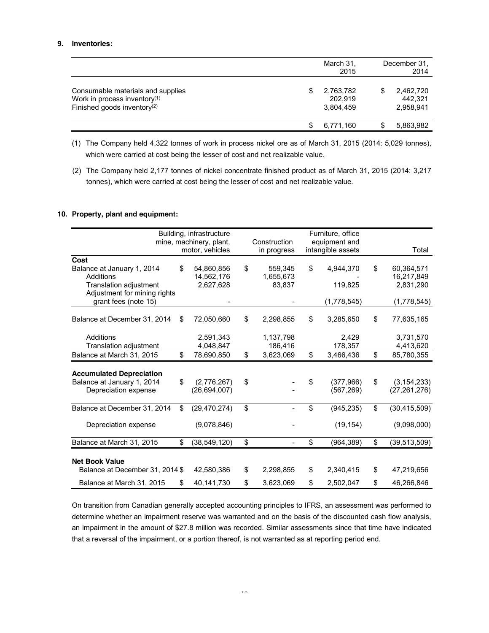# **9. Inventories:**

|                                          |   | March 31, | December 31. |
|------------------------------------------|---|-----------|--------------|
|                                          |   | 2015      | 2014         |
|                                          |   |           |              |
| Consumable materials and supplies        | S | 2,763,782 | 2,462,720    |
| Work in process inventory <sup>(1)</sup> |   | 202.919   | 442.321      |
| Finished goods inventory <sup>(2)</sup>  |   | 3.804.459 | 2,958,941    |
|                                          |   | 6.771.160 | 5,863,982    |

(1) The Company held 4,322 tonnes of work in process nickel ore as of March 31, 2015 (2014: 5,029 tonnes), which were carried at cost being the lesser of cost and net realizable value.

(2) The Company held 2,177 tonnes of nickel concentrate finished product as of March 31, 2015 (2014: 3,217 tonnes), which were carried at cost being the lesser of cost and net realizable value.

#### **10. Property, plant and equipment:**

|                                 | Building, infrastructure<br>mine, machinery, plant, | Construction    | Furniture, office<br>equipment and |                      |
|---------------------------------|-----------------------------------------------------|-----------------|------------------------------------|----------------------|
|                                 | motor, vehicles                                     | in progress     | intangible assets                  | Total                |
| Cost                            |                                                     |                 |                                    |                      |
| Balance at January 1, 2014      | \$<br>54,860,856                                    | \$<br>559.345   | \$<br>4,944,370                    | \$<br>60.364.571     |
| Additions                       | 14,562,176                                          | 1,655,673       |                                    | 16,217,849           |
| <b>Translation adjustment</b>   | 2,627,628                                           | 83,837          | 119,825                            | 2,831,290            |
| Adjustment for mining rights    |                                                     |                 |                                    |                      |
| grant fees (note 15)            |                                                     |                 | (1,778,545)                        | (1,778,545)          |
| Balance at December 31, 2014    | \$<br>72,050,660                                    | \$<br>2,298,855 | \$<br>3,285,650                    | \$<br>77,635,165     |
| Additions                       | 2,591,343                                           | 1,137,798       | 2,429                              | 3,731,570            |
| Translation adjustment          | 4,048,847                                           | 186,416         | 178,357                            | 4,413,620            |
| Balance at March 31, 2015       | \$<br>78,690,850                                    | \$<br>3,623,069 | \$<br>3,466,436                    | \$<br>85,780,355     |
|                                 |                                                     |                 |                                    |                      |
| <b>Accumulated Depreciation</b> |                                                     |                 |                                    |                      |
| Balance at January 1, 2014      | \$<br>(2,776,267)                                   | \$              | \$<br>(377, 966)                   | \$<br>(3, 154, 233)  |
| Depreciation expense            | (26, 694, 007)                                      |                 | (567, 269)                         | (27, 261, 276)       |
|                                 |                                                     |                 |                                    |                      |
| Balance at December 31, 2014    | \$<br>(29, 470, 274)                                | \$              | \$<br>(945, 235)                   | \$<br>(30, 415, 509) |
|                                 |                                                     |                 |                                    |                      |
| Depreciation expense            | (9,078,846)                                         |                 | (19, 154)                          | (9,098,000)          |
| Balance at March 31, 2015       | \$<br>(38, 549, 120)                                | \$              | \$<br>(964, 389)                   | \$<br>(39, 513, 509) |
|                                 |                                                     |                 |                                    |                      |
| <b>Net Book Value</b>           |                                                     |                 |                                    |                      |
| Balance at December 31, 2014 \$ | 42,580,386                                          | \$<br>2,298,855 | \$<br>2,340,415                    | \$<br>47,219,656     |
| Balance at March 31, 2015       | \$<br>40,141,730                                    | \$<br>3,623,069 | \$<br>2,502,047                    | \$<br>46,266,846     |

On transition from Canadian generally accepted accounting principles to IFRS, an assessment was performed to determine whether an impairment reserve was warranted and on the basis of the discounted cash flow analysis, an impairment in the amount of \$27.8 million was recorded. Similar assessments since that time have indicated that a reversal of the impairment, or a portion thereof, is not warranted as at reporting period end.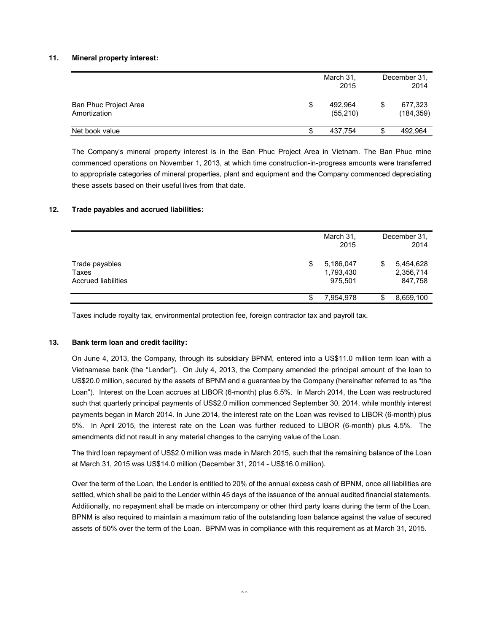#### **11. Mineral property interest:**

|                                       |   | March 31,<br>2015    |   | December 31.<br>2014  |
|---------------------------------------|---|----------------------|---|-----------------------|
| Ban Phuc Project Area<br>Amortization | S | 492.964<br>(55, 210) | S | 677,323<br>(184, 359) |
| Net book value                        | S | 437,754              | S | 492.964               |

The Company's mineral property interest is in the Ban Phuc Project Area in Vietnam. The Ban Phuc mine commenced operations on November 1, 2013, at which time construction-in-progress amounts were transferred to appropriate categories of mineral properties, plant and equipment and the Company commenced depreciating these assets based on their useful lives from that date.

# **12. Trade payables and accrued liabilities:**

|                                                       |    | March 31,<br>2015                 |    | December 31,<br>2014              |
|-------------------------------------------------------|----|-----------------------------------|----|-----------------------------------|
| Trade payables<br>Taxes<br><b>Accrued liabilities</b> | \$ | 5,186,047<br>1,793,430<br>975,501 | \$ | 5,454,628<br>2,356,714<br>847,758 |
|                                                       | S  | 7,954,978                         | S  | 8,659,100                         |

Taxes include royalty tax, environmental protection fee, foreign contractor tax and payroll tax.

#### **13. Bank term loan and credit facility:**

On June 4, 2013, the Company, through its subsidiary BPNM, entered into a US\$11.0 million term loan with a Vietnamese bank (the "Lender"). On July 4, 2013, the Company amended the principal amount of the loan to US\$20.0 million, secured by the assets of BPNM and a guarantee by the Company (hereinafter referred to as "the Loan"). Interest on the Loan accrues at LIBOR (6-month) plus 6.5%. In March 2014, the Loan was restructured such that quarterly principal payments of US\$2.0 million commenced September 30, 2014, while monthly interest payments began in March 2014. In June 2014, the interest rate on the Loan was revised to LIBOR (6-month) plus 5%. In April 2015, the interest rate on the Loan was further reduced to LIBOR (6-month) plus 4.5%. The amendments did not result in any material changes to the carrying value of the Loan.

The third loan repayment of US\$2.0 million was made in March 2015, such that the remaining balance of the Loan at March 31, 2015 was US\$14.0 million (December 31, 2014 - US\$16.0 million).

Over the term of the Loan, the Lender is entitled to 20% of the annual excess cash of BPNM, once all liabilities are settled, which shall be paid to the Lender within 45 days of the issuance of the annual audited financial statements. Additionally, no repayment shall be made on intercompany or other third party loans during the term of the Loan. BPNM is also required to maintain a maximum ratio of the outstanding loan balance against the value of secured assets of 50% over the term of the Loan. BPNM was in compliance with this requirement as at March 31, 2015.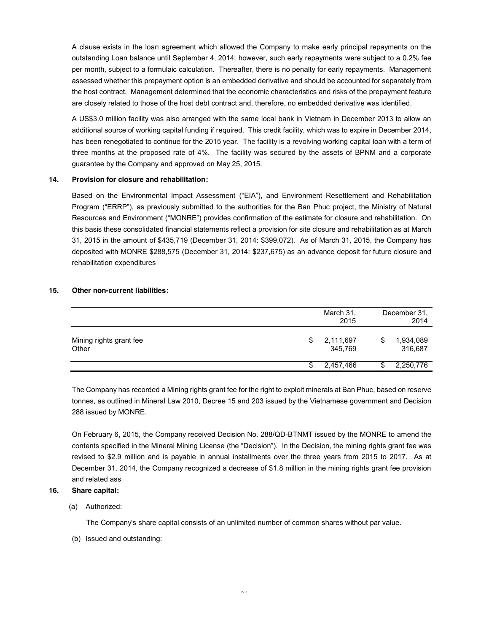A clause exists in the loan agreement which allowed the Company to make early principal repayments on the outstanding Loan balance until September 4, 2014; however, such early repayments were subject to a 0.2% fee per month, subject to a formulaic calculation. Thereafter, there is no penalty for early repayments. Management assessed whether this prepayment option is an embedded derivative and should be accounted for separately from the host contract. Management determined that the economic characteristics and risks of the prepayment feature are closely related to those of the host debt contract and, therefore, no embedded derivative was identified.

A US\$3.0 million facility was also arranged with the same local bank in Vietnam in December 2013 to allow an additional source of working capital funding if required. This credit facility, which was to expire in December 2014, has been renegotiated to continue for the 2015 year. The facility is a revolving working capital loan with a term of three months at the proposed rate of 4%. The facility was secured by the assets of BPNM and a corporate guarantee by the Company and approved on May 25, 2015.

### **14. Provision for closure and rehabilitation:**

Based on the Environmental Impact Assessment ("EIA"), and Environment Resettlement and Rehabilitation Program ("ERRP"), as previously submitted to the authorities for the Ban Phuc project, the Ministry of Natural Resources and Environment ("MONRE") provides confirmation of the estimate for closure and rehabilitation. On this basis these consolidated financial statements reflect a provision for site closure and rehabilitation as at March 31, 2015 in the amount of \$435,719 (December 31, 2014: \$399,072). As of March 31, 2015, the Company has deposited with MONRE \$288,575 (December 31, 2014: \$237,675) as an advance deposit for future closure and rehabilitation expenditures

# **15. Other non-current liabilities:**

|                                  |   | March 31,<br>2015    | December 31,<br>2014 |                      |  |
|----------------------------------|---|----------------------|----------------------|----------------------|--|
| Mining rights grant fee<br>Other | S | 2,111,697<br>345,769 | S                    | 1,934,089<br>316,687 |  |
|                                  | S | 2,457,466            | ง                    | 2,250,776            |  |

The Company has recorded a Mining rights grant fee for the right to exploit minerals at Ban Phuc, based on reserve tonnes, as outlined in Mineral Law 2010, Decree 15 and 203 issued by the Vietnamese government and Decision 288 issued by MONRE.

On February 6, 2015, the Company received Decision No. 288/QD-BTNMT issued by the MONRE to amend the contents specified in the Mineral Mining License (the "Decision"). In the Decision, the mining rights grant fee was revised to \$2.9 million and is payable in annual installments over the three years from 2015 to 2017. As at December 31, 2014, the Company recognized a decrease of \$1.8 million in the mining rights grant fee provision and related ass

# **16. Share capital:**

(a) Authorized:

The Company's share capital consists of an unlimited number of common shares without par value.

(b) Issued and outstanding: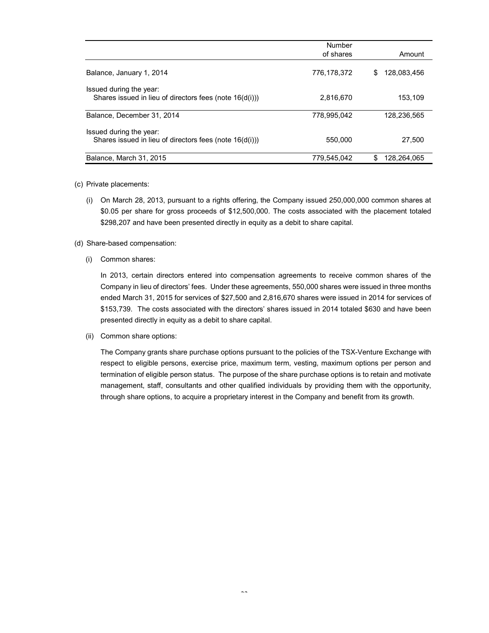|                                                                                       | Number<br>of shares | Amount           |
|---------------------------------------------------------------------------------------|---------------------|------------------|
|                                                                                       |                     |                  |
| Balance, January 1, 2014                                                              | 776,178,372         | 128.083.456<br>S |
| Issued during the year:<br>Shares issued in lieu of directors fees (note $16(d(i))$ ) | 2.816.670           | 153,109          |
| Balance, December 31, 2014                                                            | 778.995.042         | 128.236.565      |
| Issued during the year:<br>Shares issued in lieu of directors fees (note 16(d(i)))    | 550,000             | 27.500           |
| Balance, March 31, 2015                                                               | 779,545,042         | 128,264,065<br>S |

#### (c) Private placements:

(i) On March 28, 2013, pursuant to a rights offering, the Company issued 250,000,000 common shares at \$0.05 per share for gross proceeds of \$12,500,000. The costs associated with the placement totaled \$298,207 and have been presented directly in equity as a debit to share capital.

#### (d) Share-based compensation:

(i) Common shares:

In 2013, certain directors entered into compensation agreements to receive common shares of the Company in lieu of directors' fees. Under these agreements, 550,000 shares were issued in three months ended March 31, 2015 for services of \$27,500 and 2,816,670 shares were issued in 2014 for services of \$153,739. The costs associated with the directors' shares issued in 2014 totaled \$630 and have been presented directly in equity as a debit to share capital.

(ii) Common share options:

The Company grants share purchase options pursuant to the policies of the TSX-Venture Exchange with respect to eligible persons, exercise price, maximum term, vesting, maximum options per person and termination of eligible person status. The purpose of the share purchase options is to retain and motivate management, staff, consultants and other qualified individuals by providing them with the opportunity, through share options, to acquire a proprietary interest in the Company and benefit from its growth.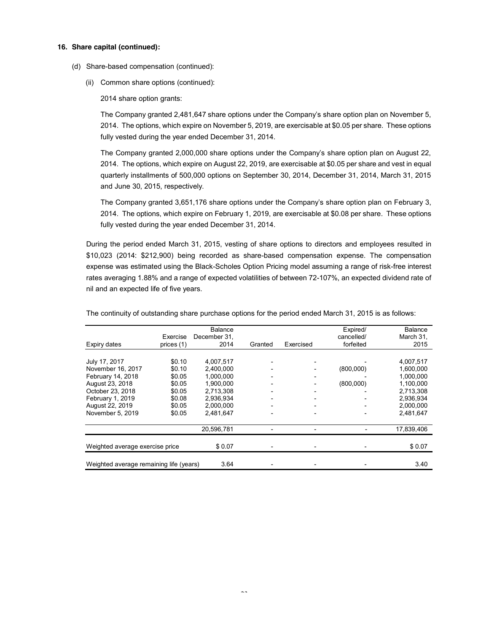#### **16. Share capital (continued):**

- (d) Share-based compensation (continued):
	- (ii) Common share options (continued):

2014 share option grants:

The Company granted 2,481,647 share options under the Company's share option plan on November 5, 2014. The options, which expire on November 5, 2019, are exercisable at \$0.05 per share. These options fully vested during the year ended December 31, 2014.

The Company granted 2,000,000 share options under the Company's share option plan on August 22, 2014. The options, which expire on August 22, 2019, are exercisable at \$0.05 per share and vest in equal quarterly installments of 500,000 options on September 30, 2014, December 31, 2014, March 31, 2015 and June 30, 2015, respectively.

The Company granted 3,651,176 share options under the Company's share option plan on February 3, 2014. The options, which expire on February 1, 2019, are exercisable at \$0.08 per share. These options fully vested during the year ended December 31, 2014.

During the period ended March 31, 2015, vesting of share options to directors and employees resulted in \$10,023 (2014: \$212,900) being recorded as share-based compensation expense. The compensation expense was estimated using the Black-Scholes Option Pricing model assuming a range of risk-free interest rates averaging 1.88% and a range of expected volatilities of between 72-107%, an expected dividend rate of nil and an expected life of five years.

|                                         |            | <b>Balance</b> |         |                          | Expired/   | <b>Balance</b> |
|-----------------------------------------|------------|----------------|---------|--------------------------|------------|----------------|
|                                         | Exercise   | December 31.   |         |                          | cancelled/ | March 31,      |
| Expiry dates                            | prices (1) | 2014           | Granted | Exercised                | forfeited  | 2015           |
|                                         |            |                |         |                          |            |                |
|                                         |            |                |         |                          |            |                |
| July 17, 2017                           | \$0.10     | 4,007,517      |         |                          |            | 4,007,517      |
| November 16, 2017                       | \$0.10     | 2.400.000      |         |                          | (800,000)  | 1,600,000      |
| February 14, 2018                       | \$0.05     | 1.000.000      |         |                          |            | 1,000,000      |
| August 23, 2018                         | \$0.05     | 1.900.000      |         |                          | (800,000)  | 1,100,000      |
| October 23, 2018                        | \$0.05     | 2,713,308      |         | -                        |            | 2,713,308      |
| February 1, 2019                        | \$0.08     | 2,936,934      |         |                          |            | 2,936,934      |
| August 22, 2019                         | \$0.05     | 2,000,000      |         | $\overline{\phantom{a}}$ |            | 2,000,000      |
| November 5, 2019                        | \$0.05     | 2.481.647      |         | $\overline{\phantom{0}}$ |            | 2,481,647      |
|                                         |            | 20,596,781     |         | -                        |            | 17,839,406     |
|                                         |            |                |         |                          |            |                |
| Weighted average exercise price         |            | \$0.07         |         |                          |            | \$0.07         |
|                                         |            |                |         |                          |            |                |
| Weighted average remaining life (years) |            | 3.64           |         |                          |            | 3.40           |

The continuity of outstanding share purchase options for the period ended March 31, 2015 is as follows: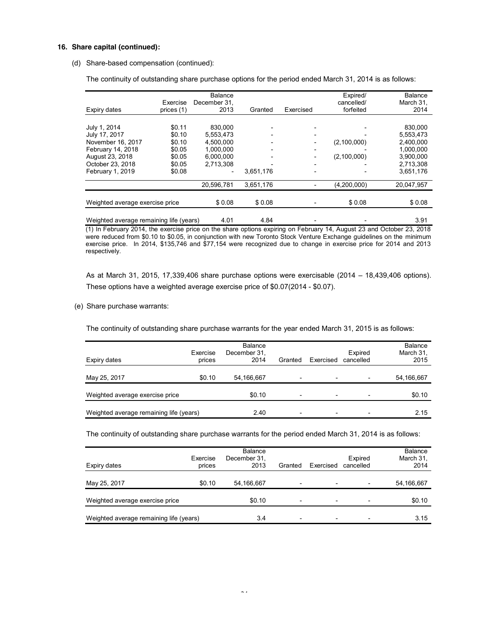#### **16. Share capital (continued):**

#### (d) Share-based compensation (continued):

The continuity of outstanding share purchase options for the period ended March 31, 2014 is as follows:

|                                         |            | <b>Balance</b> |           |           | Expired/    | <b>Balance</b> |
|-----------------------------------------|------------|----------------|-----------|-----------|-------------|----------------|
|                                         | Exercise   | December 31,   |           |           | cancelled/  | March 31,      |
| Expiry dates                            | prices (1) | 2013           | Granted   | Exercised | forfeited   | 2014           |
|                                         |            |                |           |           |             |                |
| July 1, 2014                            | \$0.11     | 830,000        |           |           |             | 830,000        |
| July 17, 2017                           | \$0.10     | 5,553,473      |           |           |             | 5,553,473      |
| November 16, 2017                       | \$0.10     | 4.500.000      |           |           | (2,100,000) | 2,400,000      |
| February 14, 2018                       | \$0.05     | 1.000.000      |           |           |             | 1,000,000      |
| August 23, 2018                         | \$0.05     | 6.000.000      |           |           | (2,100,000) | 3,900,000      |
| October 23, 2018                        | \$0.05     | 2,713,308      |           |           |             | 2,713,308      |
| February 1, 2019                        | \$0.08     |                | 3,651,176 |           |             | 3,651,176      |
|                                         |            | 20,596,781     | 3,651,176 |           | (4,200,000) | 20,047,957     |
|                                         |            |                |           |           |             |                |
| Weighted average exercise price         |            | \$0.08         | \$0.08    |           | \$0.08      | \$0.08         |
|                                         |            |                |           |           |             |                |
| Weighted average remaining life (years) |            | 4.01           | 4.84      |           |             | 3.91           |

(1) In February 2014, the exercise price on the share options expiring on February 14, August 23 and October 23, 2018 were reduced from \$0.10 to \$0.05, in conjunction with new Toronto Stock Venture Exchange guidelines on the minimum exercise price. In 2014, \$135,746 and \$77,154 were recognized due to change in exercise price for 2014 and 2013 respectively.

As at March 31, 2015, 17,339,406 share purchase options were exercisable (2014 – 18,439,406 options). These options have a weighted average exercise price of \$0.07(2014 - \$0.07).

(e) Share purchase warrants:

The continuity of outstanding share purchase warrants for the year ended March 31, 2015 is as follows:

| Expiry dates                            | Exercise<br>prices | Balance<br>December 31,<br>2014 | Granted                  | Exercised                | Expired<br>cancelled | Balance<br>March 31,<br>2015 |
|-----------------------------------------|--------------------|---------------------------------|--------------------------|--------------------------|----------------------|------------------------------|
| May 25, 2017                            | \$0.10             | 54,166,667                      | $\overline{\phantom{0}}$ |                          |                      | 54,166,667                   |
| Weighted average exercise price         |                    | \$0.10                          | $\overline{\phantom{a}}$ | $\overline{\phantom{0}}$ |                      | \$0.10                       |
| Weighted average remaining life (years) |                    | 2.40                            | $\overline{\phantom{0}}$ | $\overline{\phantom{0}}$ |                      | 2.15                         |

The continuity of outstanding share purchase warrants for the period ended March 31, 2014 is as follows:

| Expiry dates                            | Exercise<br>prices | <b>Balance</b><br>December 31,<br>2013 | Granted                  | Exercised                | Expired<br>cancelled | <b>Balance</b><br>March 31,<br>2014 |
|-----------------------------------------|--------------------|----------------------------------------|--------------------------|--------------------------|----------------------|-------------------------------------|
| May 25, 2017                            | \$0.10             | 54,166,667                             | $\overline{\phantom{0}}$ |                          |                      | 54,166,667                          |
| Weighted average exercise price         |                    | \$0.10                                 | $\overline{\phantom{0}}$ |                          |                      | \$0.10                              |
| Weighted average remaining life (years) |                    | 3.4                                    | ۰                        | $\overline{\phantom{0}}$ |                      | 3.15                                |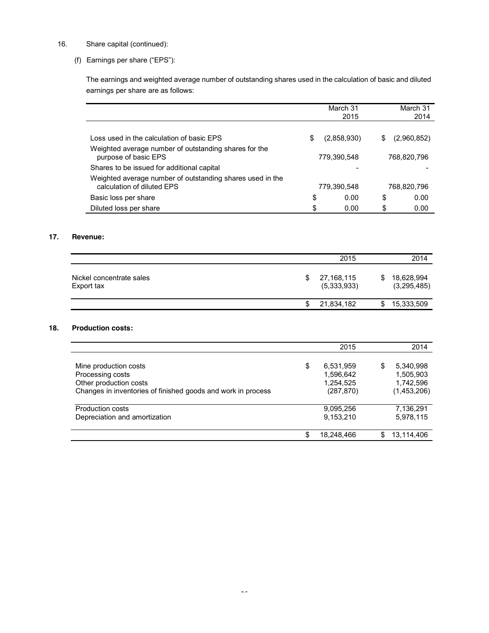# 16. Share capital (continued):

(f) Earnings per share ("EPS"):

The earnings and weighted average number of outstanding shares used in the calculation of basic and diluted earnings per share are as follows:

|                                                                                         |             | March 31    |    | March 31    |
|-----------------------------------------------------------------------------------------|-------------|-------------|----|-------------|
|                                                                                         |             | 2015        |    | 2014        |
|                                                                                         |             |             |    |             |
| Loss used in the calculation of basic EPS                                               | \$          | (2,858,930) | S  | (2,960,852) |
| Weighted average number of outstanding shares for the<br>purpose of basic EPS           | 779,390,548 |             |    | 768.820.796 |
| Shares to be issued for additional capital                                              |             |             |    |             |
| Weighted average number of outstanding shares used in the<br>calculation of diluted EPS |             | 779.390.548 |    | 768,820,796 |
| Basic loss per share                                                                    | \$          | 0.00        | \$ | 0.00        |
| Diluted loss per share                                                                  | \$          | 0.00        | \$ | 0.00        |

# **17. Revenue:**

|                                        |     | 2015                      |   | 2014                      |
|----------------------------------------|-----|---------------------------|---|---------------------------|
| Nickel concentrate sales<br>Export tax | S   | 27,168,115<br>(5,333,933) | S | 18,628,994<br>(3,295,485) |
|                                        | \$. | 21,834,182                | S | 15,333,509                |

# **18. Production costs:**

|                                                                                                                                     | 2015                                                    |   | 2014                                               |
|-------------------------------------------------------------------------------------------------------------------------------------|---------------------------------------------------------|---|----------------------------------------------------|
| Mine production costs<br>Processing costs<br>Other production costs<br>Changes in inventories of finished goods and work in process | \$<br>6,531,959<br>1,596,642<br>1,254,525<br>(287, 870) | S | 5,340,998<br>1,505,903<br>1,742,596<br>(1,453,206) |
| <b>Production costs</b><br>Depreciation and amortization                                                                            | 9,095,256<br>9,153,210                                  |   | 7,136,291<br>5,978,115                             |
|                                                                                                                                     | \$<br>18,248,466                                        | S | 13,114,406                                         |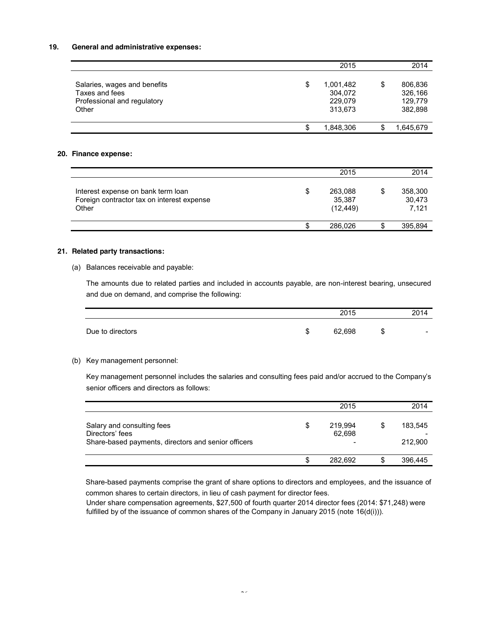#### **19. General and administrative expenses:**

|                                                                               |   | 2015                            |   | 2014                          |
|-------------------------------------------------------------------------------|---|---------------------------------|---|-------------------------------|
| Salaries, wages and benefits<br>Taxes and fees<br>Professional and regulatory | S | 1,001,482<br>304,072<br>229,079 | S | 806,836<br>326,166<br>129,779 |
| Other                                                                         |   | 313.673                         |   | 382,898                       |
|                                                                               |   | 1,848,306                       |   | 1,645,679                     |

# **20. Finance expense:**

|                                                                                           | 2015                           | 2014                       |
|-------------------------------------------------------------------------------------------|--------------------------------|----------------------------|
| Interest expense on bank term loan<br>Foreign contractor tax on interest expense<br>Other | 263,088<br>35,387<br>(12, 449) | 358,300<br>30,473<br>7,121 |
|                                                                                           | 286.026                        | 395,894                    |

# **21. Related party transactions:**

(a) Balances receivable and payable:

The amounts due to related parties and included in accounts payable, are non-interest bearing, unsecured and due on demand, and comprise the following:

|                  |    | 2015   |        | 2014                     |
|------------------|----|--------|--------|--------------------------|
| Due to directors | ۰D | 62,698 | ጥ<br>D | $\overline{\phantom{a}}$ |

#### (b) Key management personnel:

Key management personnel includes the salaries and consulting fees paid and/or accrued to the Company's senior officers and directors as follows:

|                                                                                                      |   | 2015              |    | 2014               |
|------------------------------------------------------------------------------------------------------|---|-------------------|----|--------------------|
| Salary and consulting fees<br>Directors' fees<br>Share-based payments, directors and senior officers | S | 219.994<br>62.698 | \$ | 183.545<br>212.900 |
|                                                                                                      | S | 282.692           | S  | 396.445            |

Share-based payments comprise the grant of share options to directors and employees, and the issuance of common shares to certain directors, in lieu of cash payment for director fees.

Under share compensation agreements, \$27,500 of fourth quarter 2014 director fees (2014: \$71,248) were fulfilled by of the issuance of common shares of the Company in January 2015 (note 16(d(i))).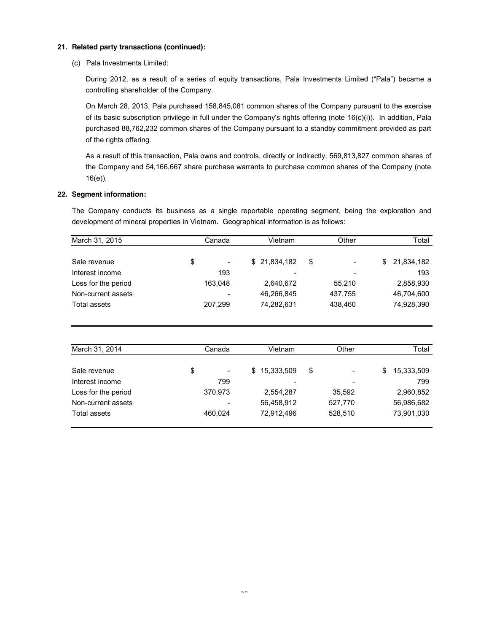# **21. Related party transactions (continued):**

(c) Pala Investments Limited:

During 2012, as a result of a series of equity transactions, Pala Investments Limited ("Pala") became a controlling shareholder of the Company.

On March 28, 2013, Pala purchased 158,845,081 common shares of the Company pursuant to the exercise of its basic subscription privilege in full under the Company's rights offering (note 16(c)(i)). In addition, Pala purchased 88,762,232 common shares of the Company pursuant to a standby commitment provided as part of the rights offering.

As a result of this transaction, Pala owns and controls, directly or indirectly, 569,813,827 common shares of the Company and 54,166,667 share purchase warrants to purchase common shares of the Company (note 16(e)).

# **22. Segment information:**

The Company conducts its business as a single reportable operating segment, being the exploration and development of mineral properties in Vietnam. Geographical information is as follows:

| March 31, 2015<br>Canada |                                | Vietnam                  | Other                          | Total             |
|--------------------------|--------------------------------|--------------------------|--------------------------------|-------------------|
|                          |                                |                          |                                |                   |
| Sale revenue             | \$<br>$\overline{\phantom{a}}$ | \$21,834,182             | \$<br>$\overline{\phantom{a}}$ | 21,834,182<br>\$. |
| Interest income          | 193                            | $\overline{\phantom{a}}$ | $\overline{\phantom{a}}$       | 193               |
| Loss for the period      | 163.048                        | 2.640.672                | 55.210                         | 2,858,930         |
| Non-current assets       | $\overline{\phantom{a}}$       | 46,266,845               | 437,755                        | 46,704,600        |
| Total assets             | 207,299                        | 74,282,631               | 438,460                        | 74,928,390        |

| March 31, 2014      | Canada                         |  | Vietnam                  |    | Other                    |   | Total      |  |
|---------------------|--------------------------------|--|--------------------------|----|--------------------------|---|------------|--|
|                     |                                |  |                          |    |                          |   |            |  |
| Sale revenue        | \$<br>$\overline{\phantom{a}}$ |  | \$15,333,509             | \$ | $\overline{\phantom{a}}$ | S | 15,333,509 |  |
| Interest income     | 799                            |  | $\overline{\phantom{a}}$ |    | $\overline{\phantom{a}}$ |   | 799        |  |
| Loss for the period | 370,973                        |  | 2,554,287                |    | 35.592                   |   | 2,960,852  |  |
| Non-current assets  |                                |  | 56,458,912               |    | 527,770                  |   | 56,986,682 |  |
| Total assets        | 460.024                        |  | 72,912,496               |    | 528,510                  |   | 73,901,030 |  |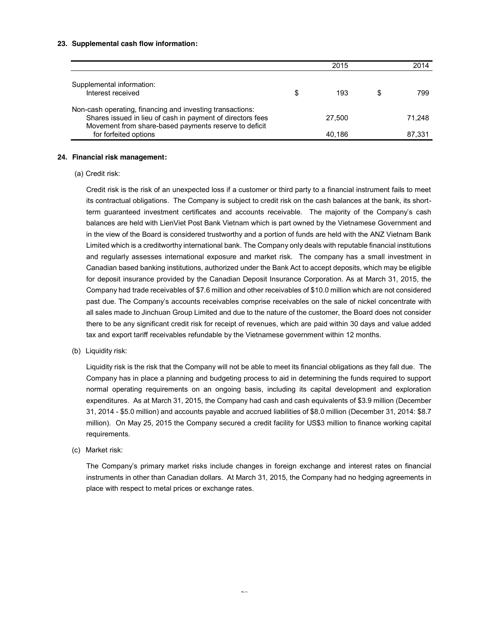#### **23. Supplemental cash flow information:**

|                                                                                                                                                                                  |   | 2015   |   | 2014   |
|----------------------------------------------------------------------------------------------------------------------------------------------------------------------------------|---|--------|---|--------|
| Supplemental information:<br>Interest received                                                                                                                                   | S | 193    | S | 799    |
| Non-cash operating, financing and investing transactions:<br>Shares issued in lieu of cash in payment of directors fees<br>Movement from share-based payments reserve to deficit |   | 27.500 |   | 71.248 |
| for forfeited options                                                                                                                                                            |   | 40.186 |   | 87.331 |

#### **24. Financial risk management:**

#### (a) Credit risk:

Credit risk is the risk of an unexpected loss if a customer or third party to a financial instrument fails to meet its contractual obligations. The Company is subject to credit risk on the cash balances at the bank, its shortterm guaranteed investment certificates and accounts receivable. The majority of the Company's cash balances are held with LienViet Post Bank Vietnam which is part owned by the Vietnamese Government and in the view of the Board is considered trustworthy and a portion of funds are held with the ANZ Vietnam Bank Limited which is a creditworthy international bank. The Company only deals with reputable financial institutions and regularly assesses international exposure and market risk. The company has a small investment in Canadian based banking institutions, authorized under the Bank Act to accept deposits, which may be eligible for deposit insurance provided by the Canadian Deposit Insurance Corporation. As at March 31, 2015, the Company had trade receivables of \$7.6 million and other receivables of \$10.0 million which are not considered past due. The Company's accounts receivables comprise receivables on the sale of nickel concentrate with all sales made to Jinchuan Group Limited and due to the nature of the customer, the Board does not consider there to be any significant credit risk for receipt of revenues, which are paid within 30 days and value added tax and export tariff receivables refundable by the Vietnamese government within 12 months.

#### (b) Liquidity risk:

Liquidity risk is the risk that the Company will not be able to meet its financial obligations as they fall due. The Company has in place a planning and budgeting process to aid in determining the funds required to support normal operating requirements on an ongoing basis, including its capital development and exploration expenditures. As at March 31, 2015, the Company had cash and cash equivalents of \$3.9 million (December 31, 2014 - \$5.0 million) and accounts payable and accrued liabilities of \$8.0 million (December 31, 2014: \$8.7 million). On May 25, 2015 the Company secured a credit facility for US\$3 million to finance working capital requirements.

#### (c) Market risk:

The Company's primary market risks include changes in foreign exchange and interest rates on financial instruments in other than Canadian dollars. At March 31, 2015, the Company had no hedging agreements in place with respect to metal prices or exchange rates.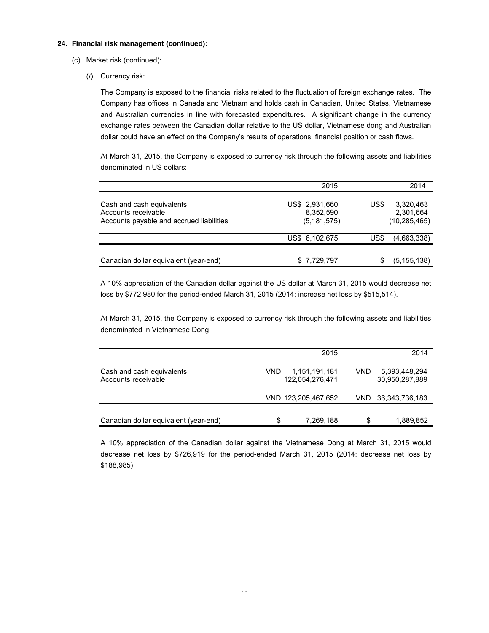#### **24. Financial risk management (continued):**

- (c) Market risk (continued):
	- (*i*) Currency risk:

The Company is exposed to the financial risks related to the fluctuation of foreign exchange rates. The Company has offices in Canada and Vietnam and holds cash in Canadian, United States, Vietnamese and Australian currencies in line with forecasted expenditures. A significant change in the currency exchange rates between the Canadian dollar relative to the US dollar, Vietnamese dong and Australian dollar could have an effect on the Company's results of operations, financial position or cash flows.

At March 31, 2015, the Company is exposed to currency risk through the following assets and liabilities denominated in US dollars:

|                                                                                              | 2015                                       |      | 2014                                     |
|----------------------------------------------------------------------------------------------|--------------------------------------------|------|------------------------------------------|
| Cash and cash equivalents<br>Accounts receivable<br>Accounts payable and accrued liabilities | US\$ 2,931,660<br>8,352,590<br>(5.181.575) | US\$ | 3,320,463<br>2,301,664<br>(10, 285, 465) |
|                                                                                              | US\$ 6,102,675                             | US\$ | (4,663,338)                              |
| Canadian dollar equivalent (year-end)                                                        | \$7,729,797                                | S    | (5, 155, 138)                            |

A 10% appreciation of the Canadian dollar against the US dollar at March 31, 2015 would decrease net loss by \$772,980 for the period-ended March 31, 2015 (2014: increase net loss by \$515,514).

At March 31, 2015, the Company is exposed to currency risk through the following assets and liabilities denominated in Vietnamese Dong:

|                                                  |     | 2015                             |      | 2014                            |
|--------------------------------------------------|-----|----------------------------------|------|---------------------------------|
| Cash and cash equivalents<br>Accounts receivable | VND | 1,151,191,181<br>122,054,276,471 | VND. | 5,393,448,294<br>30,950,287,889 |
|                                                  |     | VND 123,205,467,652              |      | VND 36,343,736,183              |
| Canadian dollar equivalent (year-end)            | S   | 7,269,188                        | S    | 1,889,852                       |

A 10% appreciation of the Canadian dollar against the Vietnamese Dong at March 31, 2015 would decrease net loss by \$726,919 for the period-ended March 31, 2015 (2014: decrease net loss by \$188,985).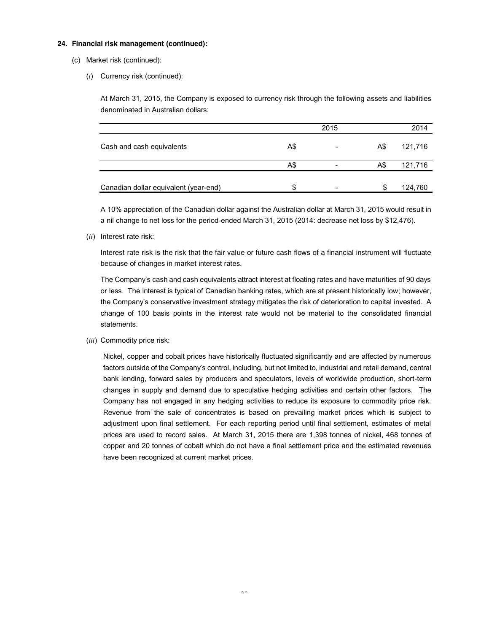#### **24. Financial risk management (continued):**

- (c) Market risk (continued):
	- (*i*) Currency risk (continued):

At March 31, 2015, the Company is exposed to currency risk through the following assets and liabilities denominated in Australian dollars:

|                                       |     | 2015                     |     | 2014    |
|---------------------------------------|-----|--------------------------|-----|---------|
| Cash and cash equivalents             | A\$ | $\overline{\phantom{0}}$ | A\$ | 121,716 |
|                                       | A\$ | $\overline{\phantom{0}}$ | A\$ | 121,716 |
| Canadian dollar equivalent (year-end) |     |                          | S   | 124,760 |

A 10% appreciation of the Canadian dollar against the Australian dollar at March 31, 2015 would result in a nil change to net loss for the period-ended March 31, 2015 (2014: decrease net loss by \$12,476).

(*ii*) Interest rate risk:

Interest rate risk is the risk that the fair value or future cash flows of a financial instrument will fluctuate because of changes in market interest rates.

The Company's cash and cash equivalents attract interest at floating rates and have maturities of 90 days or less. The interest is typical of Canadian banking rates, which are at present historically low; however, the Company's conservative investment strategy mitigates the risk of deterioration to capital invested. A change of 100 basis points in the interest rate would not be material to the consolidated financial statements.

(*iii*) Commodity price risk:

Nickel, copper and cobalt prices have historically fluctuated significantly and are affected by numerous factors outside of the Company's control, including, but not limited to, industrial and retail demand, central bank lending, forward sales by producers and speculators, levels of worldwide production, short-term changes in supply and demand due to speculative hedging activities and certain other factors. The Company has not engaged in any hedging activities to reduce its exposure to commodity price risk. Revenue from the sale of concentrates is based on prevailing market prices which is subject to adjustment upon final settlement. For each reporting period until final settlement, estimates of metal prices are used to record sales. At March 31, 2015 there are 1,398 tonnes of nickel, 468 tonnes of copper and 20 tonnes of cobalt which do not have a final settlement price and the estimated revenues have been recognized at current market prices.